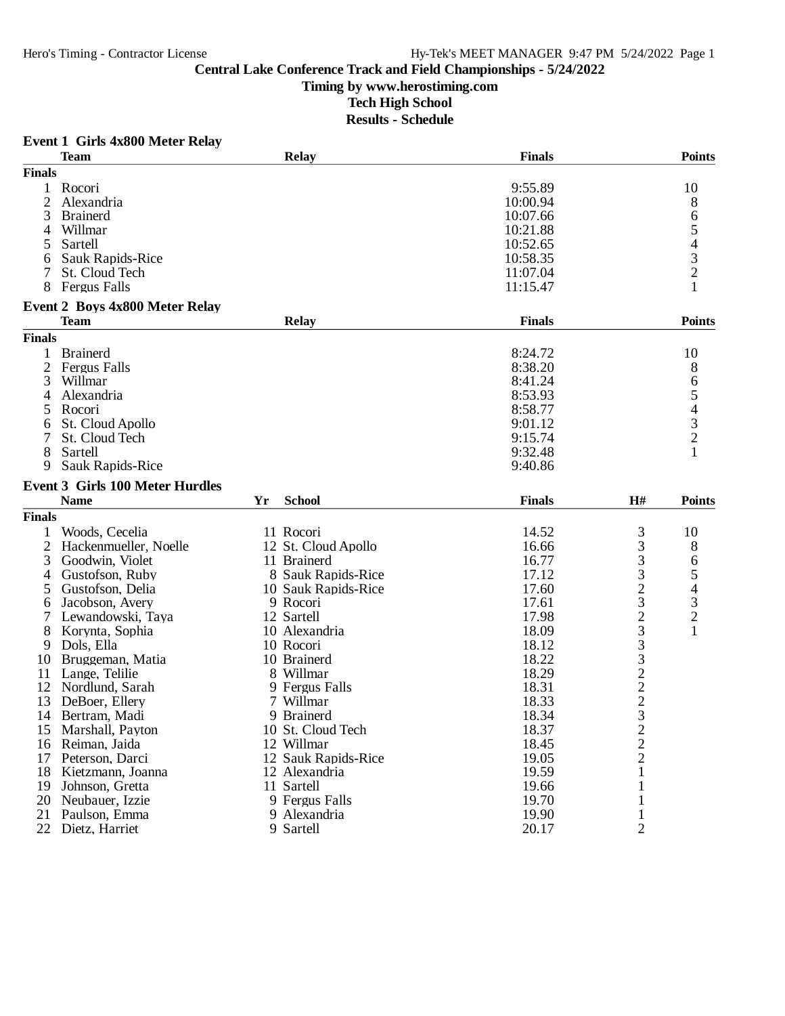**Timing by www.herostiming.com**

**Tech High School**

| <b>Finals</b><br><b>Team</b><br><b>Relay</b><br><b>Finals</b><br>$\mathbf{1}$<br>Rocori<br>9:55.89<br>10<br>2<br>Alexandria<br>10:00.94<br>8<br>3<br>6<br><b>Brainerd</b><br>10:07.66<br>5<br>Willmar<br>10:21.88<br>4<br>$\begin{array}{c} 4 \\ 3 \\ 2 \end{array}$<br>Sartell<br>10:52.65<br>5<br>Sauk Rapids-Rice<br>10:58.35<br>6<br>St. Cloud Tech<br>7<br>11:07.04<br>8<br><b>Fergus Falls</b><br>11:15.47<br><b>Event 2 Boys 4x800 Meter Relay</b><br><b>Team</b><br><b>Relay</b><br><b>Finals</b><br><b>Finals</b><br>1<br><b>Brainerd</b><br>8:24.72<br>10<br>$\overline{2}$<br>8:38.20<br>Fergus Falls<br>8<br>3<br>Willmar<br>8:41.24<br>6 | Event 1 Girls 4x800 Meter Relay |  |  |               |
|-------------------------------------------------------------------------------------------------------------------------------------------------------------------------------------------------------------------------------------------------------------------------------------------------------------------------------------------------------------------------------------------------------------------------------------------------------------------------------------------------------------------------------------------------------------------------------------------------------------------------------------------------------|---------------------------------|--|--|---------------|
|                                                                                                                                                                                                                                                                                                                                                                                                                                                                                                                                                                                                                                                       |                                 |  |  | <b>Points</b> |
|                                                                                                                                                                                                                                                                                                                                                                                                                                                                                                                                                                                                                                                       |                                 |  |  |               |
|                                                                                                                                                                                                                                                                                                                                                                                                                                                                                                                                                                                                                                                       |                                 |  |  |               |
|                                                                                                                                                                                                                                                                                                                                                                                                                                                                                                                                                                                                                                                       |                                 |  |  |               |
|                                                                                                                                                                                                                                                                                                                                                                                                                                                                                                                                                                                                                                                       |                                 |  |  |               |
|                                                                                                                                                                                                                                                                                                                                                                                                                                                                                                                                                                                                                                                       |                                 |  |  |               |
|                                                                                                                                                                                                                                                                                                                                                                                                                                                                                                                                                                                                                                                       |                                 |  |  |               |
|                                                                                                                                                                                                                                                                                                                                                                                                                                                                                                                                                                                                                                                       |                                 |  |  |               |
|                                                                                                                                                                                                                                                                                                                                                                                                                                                                                                                                                                                                                                                       |                                 |  |  |               |
|                                                                                                                                                                                                                                                                                                                                                                                                                                                                                                                                                                                                                                                       |                                 |  |  |               |
|                                                                                                                                                                                                                                                                                                                                                                                                                                                                                                                                                                                                                                                       |                                 |  |  |               |
|                                                                                                                                                                                                                                                                                                                                                                                                                                                                                                                                                                                                                                                       |                                 |  |  |               |
|                                                                                                                                                                                                                                                                                                                                                                                                                                                                                                                                                                                                                                                       |                                 |  |  | <b>Points</b> |
|                                                                                                                                                                                                                                                                                                                                                                                                                                                                                                                                                                                                                                                       |                                 |  |  |               |
|                                                                                                                                                                                                                                                                                                                                                                                                                                                                                                                                                                                                                                                       |                                 |  |  |               |
|                                                                                                                                                                                                                                                                                                                                                                                                                                                                                                                                                                                                                                                       |                                 |  |  |               |
|                                                                                                                                                                                                                                                                                                                                                                                                                                                                                                                                                                                                                                                       |                                 |  |  |               |
| Alexandria<br>8:53.93<br>4                                                                                                                                                                                                                                                                                                                                                                                                                                                                                                                                                                                                                            |                                 |  |  |               |
| $\begin{array}{c} 5 \\ 4 \\ 3 \\ 2 \end{array}$<br>Rocori<br>8:58.77                                                                                                                                                                                                                                                                                                                                                                                                                                                                                                                                                                                  |                                 |  |  |               |
| 5                                                                                                                                                                                                                                                                                                                                                                                                                                                                                                                                                                                                                                                     |                                 |  |  |               |
| St. Cloud Apollo<br>9:01.12<br>6                                                                                                                                                                                                                                                                                                                                                                                                                                                                                                                                                                                                                      |                                 |  |  |               |
| St. Cloud Tech<br>9:15.74<br>7                                                                                                                                                                                                                                                                                                                                                                                                                                                                                                                                                                                                                        |                                 |  |  |               |
| 8<br>9:32.48<br>Sartell                                                                                                                                                                                                                                                                                                                                                                                                                                                                                                                                                                                                                               |                                 |  |  |               |
| Sauk Rapids-Rice<br>9:40.86<br>9                                                                                                                                                                                                                                                                                                                                                                                                                                                                                                                                                                                                                      |                                 |  |  |               |
| <b>Event 3 Girls 100 Meter Hurdles</b>                                                                                                                                                                                                                                                                                                                                                                                                                                                                                                                                                                                                                |                                 |  |  |               |
| <b>School</b><br><b>Finals</b><br>H#<br><b>Name</b><br>Yr                                                                                                                                                                                                                                                                                                                                                                                                                                                                                                                                                                                             |                                 |  |  | <b>Points</b> |
| <b>Finals</b>                                                                                                                                                                                                                                                                                                                                                                                                                                                                                                                                                                                                                                         |                                 |  |  |               |
| 11 Rocori<br>3<br>Woods, Cecelia<br>14.52<br>10                                                                                                                                                                                                                                                                                                                                                                                                                                                                                                                                                                                                       |                                 |  |  |               |
| 2<br>Hackenmueller, Noelle<br>8<br>12 St. Cloud Apollo<br>16.66                                                                                                                                                                                                                                                                                                                                                                                                                                                                                                                                                                                       |                                 |  |  |               |
| $\begin{array}{c} 3 \\ 3 \\ 3 \end{array}$<br>3<br>11 Brainerd<br>16.77<br>Goodwin, Violet<br>6                                                                                                                                                                                                                                                                                                                                                                                                                                                                                                                                                       |                                 |  |  |               |
| 5<br>17.12<br>Gustofson, Ruby<br>8 Sauk Rapids-Rice<br>4                                                                                                                                                                                                                                                                                                                                                                                                                                                                                                                                                                                              |                                 |  |  |               |
| 4<br>17.60<br>5<br>Gustofson, Delia<br>10 Sauk Rapids-Rice                                                                                                                                                                                                                                                                                                                                                                                                                                                                                                                                                                                            |                                 |  |  |               |
| $\frac{2}{3}$                                                                                                                                                                                                                                                                                                                                                                                                                                                                                                                                                                                                                                         |                                 |  |  |               |
| $\frac{3}{2}$<br>Jacobson, Avery<br>9 Rocori<br>17.61<br>6                                                                                                                                                                                                                                                                                                                                                                                                                                                                                                                                                                                            |                                 |  |  |               |
| 233322<br>Lewandowski, Taya<br>12 Sartell<br>17.98                                                                                                                                                                                                                                                                                                                                                                                                                                                                                                                                                                                                    |                                 |  |  |               |
| $\mathbf{1}$<br>18.09<br>8<br>Korynta, Sophia<br>10 Alexandria                                                                                                                                                                                                                                                                                                                                                                                                                                                                                                                                                                                        |                                 |  |  |               |
| 18.12<br>9<br>Dols, Ella<br>10 Rocori                                                                                                                                                                                                                                                                                                                                                                                                                                                                                                                                                                                                                 |                                 |  |  |               |
| 18.22<br>Bruggeman, Matia<br>10 Brainerd<br>10                                                                                                                                                                                                                                                                                                                                                                                                                                                                                                                                                                                                        |                                 |  |  |               |
| 18.29<br>Lange, Telilie<br>8 Willmar<br>11                                                                                                                                                                                                                                                                                                                                                                                                                                                                                                                                                                                                            |                                 |  |  |               |
| 9 Fergus Falls<br>18.31<br>12 Nordlund, Sarah                                                                                                                                                                                                                                                                                                                                                                                                                                                                                                                                                                                                         |                                 |  |  |               |
| $\mathcal{D}$<br>13 DeBoer, Ellery<br>7 Willmar<br>18.33                                                                                                                                                                                                                                                                                                                                                                                                                                                                                                                                                                                              |                                 |  |  |               |
| 9 Brainerd<br>18.34<br>14 Bertram, Madi                                                                                                                                                                                                                                                                                                                                                                                                                                                                                                                                                                                                               |                                 |  |  |               |
| 18.37<br>15<br>Marshall, Payton<br>10 St. Cloud Tech                                                                                                                                                                                                                                                                                                                                                                                                                                                                                                                                                                                                  |                                 |  |  |               |
| $\frac{3}{2}$<br>16 Reiman, Jaida<br>12 Willmar<br>18.45                                                                                                                                                                                                                                                                                                                                                                                                                                                                                                                                                                                              |                                 |  |  |               |
| $\overline{c}$<br>12 Sauk Rapids-Rice<br>19.05<br>17<br>Peterson, Darci                                                                                                                                                                                                                                                                                                                                                                                                                                                                                                                                                                               |                                 |  |  |               |
| 19.59<br>18 Kietzmann, Joanna<br>12 Alexandria                                                                                                                                                                                                                                                                                                                                                                                                                                                                                                                                                                                                        |                                 |  |  |               |
| Johnson, Gretta<br>11 Sartell<br>19.66<br>19                                                                                                                                                                                                                                                                                                                                                                                                                                                                                                                                                                                                          |                                 |  |  |               |
| 9 Fergus Falls<br>19.70<br>20<br>Neubauer, Izzie                                                                                                                                                                                                                                                                                                                                                                                                                                                                                                                                                                                                      |                                 |  |  |               |
| 19.90<br>21<br>Paulson, Emma<br>9 Alexandria<br>1                                                                                                                                                                                                                                                                                                                                                                                                                                                                                                                                                                                                     |                                 |  |  |               |
| $\overline{2}$<br>20.17<br>22 Dietz, Harriet<br>9 Sartell                                                                                                                                                                                                                                                                                                                                                                                                                                                                                                                                                                                             |                                 |  |  |               |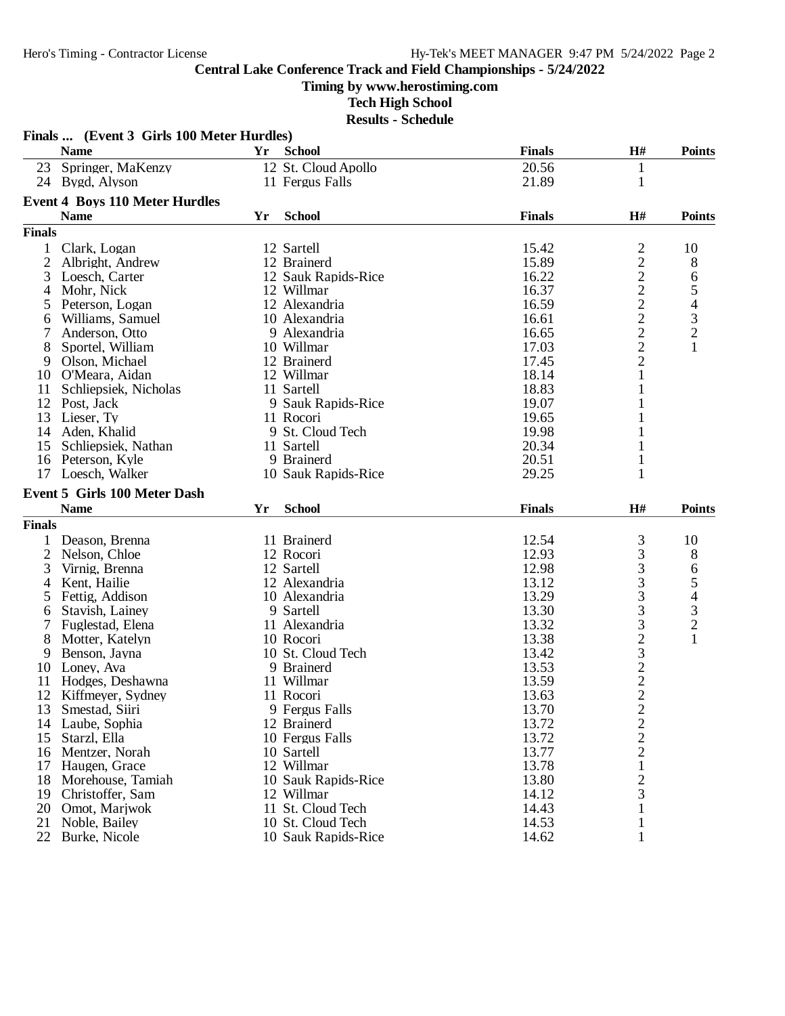**Timing by www.herostiming.com**

**Tech High School**

|                | Finals  (Event 3 Girls 100 Meter Hurdles) |    |                                          |                |                                                   |                                                |
|----------------|-------------------------------------------|----|------------------------------------------|----------------|---------------------------------------------------|------------------------------------------------|
|                | <b>Name</b>                               | Yr | <b>School</b>                            | <b>Finals</b>  | H#                                                | <b>Points</b>                                  |
| 23             | Springer, MaKenzy                         |    | 12 St. Cloud Apollo                      | 20.56          | $\mathbf{1}$                                      |                                                |
|                | 24 Bygd, Alyson                           |    | 11 Fergus Falls                          | 21.89          | $\mathbf{1}$                                      |                                                |
|                | <b>Event 4 Boys 110 Meter Hurdles</b>     |    |                                          |                |                                                   |                                                |
|                | <b>Name</b>                               | Yr | <b>School</b>                            | <b>Finals</b>  | H#                                                | <b>Points</b>                                  |
| <b>Finals</b>  |                                           |    |                                          |                |                                                   |                                                |
| 1              | Clark, Logan                              |    | 12 Sartell                               | 15.42          | $\overline{c}$                                    | 10                                             |
| $\overline{c}$ | Albright, Andrew                          |    | 12 Brainerd                              | 15.89          | $\overline{c}$                                    | 8                                              |
| 3              | Loesch, Carter                            |    | 12 Sauk Rapids-Rice                      | 16.22          |                                                   | 6                                              |
| 4              | Mohr, Nick                                |    | 12 Willmar                               | 16.37          |                                                   |                                                |
| 5              | Peterson, Logan                           |    | 12 Alexandria                            | 16.59          | $\begin{array}{c}\n2 \\ 2 \\ 2 \\ 2\n\end{array}$ | $\frac{5}{4}$<br>$\frac{3}{2}$                 |
| 6              | Williams, Samuel                          |    | 10 Alexandria                            | 16.61          |                                                   |                                                |
|                | Anderson, Otto                            |    | 9 Alexandria                             | 16.65          |                                                   |                                                |
| 8              | Sportel, William                          |    | 10 Willmar                               | 17.03          |                                                   | $\mathbf{1}$                                   |
| 9              | Olson, Michael                            |    | 12 Brainerd                              | 17.45          | $\frac{2}{2}$                                     |                                                |
| 10             | O'Meara, Aidan                            |    | 12 Willmar                               | 18.14          | 1                                                 |                                                |
| 11             | Schliepsiek, Nicholas                     |    | 11 Sartell                               | 18.83          | 1                                                 |                                                |
| 12             | Post, Jack                                |    | 9 Sauk Rapids-Rice                       | 19.07          |                                                   |                                                |
| 13             | Lieser, Ty                                |    | 11 Rocori                                | 19.65          |                                                   |                                                |
| 14             | Aden, Khalid                              |    | 9 St. Cloud Tech                         | 19.98          | 1                                                 |                                                |
| 15             | Schliepsiek, Nathan                       |    | 11 Sartell                               | 20.34          | 1                                                 |                                                |
| 16             | Peterson, Kyle                            |    | 9 Brainerd                               | 20.51          | 1                                                 |                                                |
| 17             | Loesch, Walker                            |    | 10 Sauk Rapids-Rice                      | 29.25          | 1                                                 |                                                |
|                | <b>Event 5 Girls 100 Meter Dash</b>       |    |                                          |                |                                                   |                                                |
|                | <b>Name</b>                               | Yr | <b>School</b>                            | <b>Finals</b>  | H#                                                | <b>Points</b>                                  |
|                |                                           |    |                                          |                |                                                   |                                                |
|                |                                           |    |                                          |                |                                                   |                                                |
| <b>Finals</b>  |                                           |    |                                          |                |                                                   |                                                |
|                | Deason, Brenna                            |    | 11 Brainerd                              | 12.54          | 3                                                 | 10                                             |
| $\overline{2}$ | Nelson, Chloe                             |    | 12 Rocori                                | 12.93          | 3                                                 | 8                                              |
| 3              | Virnig, Brenna                            |    | 12 Sartell                               | 12.98          | 3                                                 | 6                                              |
| 4              | Kent, Hailie                              |    | 12 Alexandria                            | 13.12          | 3                                                 |                                                |
| 5              | Fettig, Addison                           |    | 10 Alexandria                            | 13.29          | 3                                                 |                                                |
| 6              | Stavish, Lainey                           |    | 9 Sartell                                | 13.30          | 3                                                 |                                                |
| 8              | Fuglestad, Elena                          |    | 11 Alexandria                            | 13.32          | $\mathfrak{Z}$                                    | $\frac{5}{4}$<br>$\frac{3}{2}$<br>$\mathbf{1}$ |
| 9              | Motter, Katelyn                           |    | 10 Rocori                                | 13.38          |                                                   |                                                |
|                | Benson, Jayna                             |    | 10 St. Cloud Tech                        | 13.42          |                                                   |                                                |
| 10<br>11       | Loney, Ava<br>Hodges, Deshawna            |    | 9 Brainerd<br>11 Willmar                 | 13.53<br>13.59 |                                                   |                                                |
| 12             |                                           |    | 11 Rocori                                | 13.63          | $\begin{array}{c}\n23 \\ 22 \\ 2\n\end{array}$    |                                                |
| 13             | Kiffmeyer, Sydney<br>Smestad, Siiri       |    | 9 Fergus Falls                           | 13.70          |                                                   |                                                |
| 14             | Laube, Sophia                             |    | 12 Brainerd                              | 13.72          | $\overline{\mathbf{c}}$                           |                                                |
| 15             | Starzl, Ella                              |    | 10 Fergus Falls                          | 13.72          |                                                   |                                                |
| 16             | Mentzer, Norah                            |    | 10 Sartell                               | 13.77          | $\frac{2}{2}$                                     |                                                |
| 17             | Haugen, Grace                             |    | 12 Willmar                               | 13.78          | $\mathbf{1}$                                      |                                                |
| 18             | Morehouse, Tamiah                         |    | 10 Sauk Rapids-Rice                      | 13.80          | $\mathbf{2}$                                      |                                                |
| 19             | Christoffer, Sam                          |    | 12 Willmar                               | 14.12          | 3                                                 |                                                |
| 20             | Omot, Marjwok                             |    | 11 St. Cloud Tech                        | 14.43          | $\mathbf{1}$                                      |                                                |
| 21             | Noble, Bailey<br>22 Burke, Nicole         |    | 10 St. Cloud Tech<br>10 Sauk Rapids-Rice | 14.53<br>14.62 | $\mathbf{1}$<br>$\mathbf{1}$                      |                                                |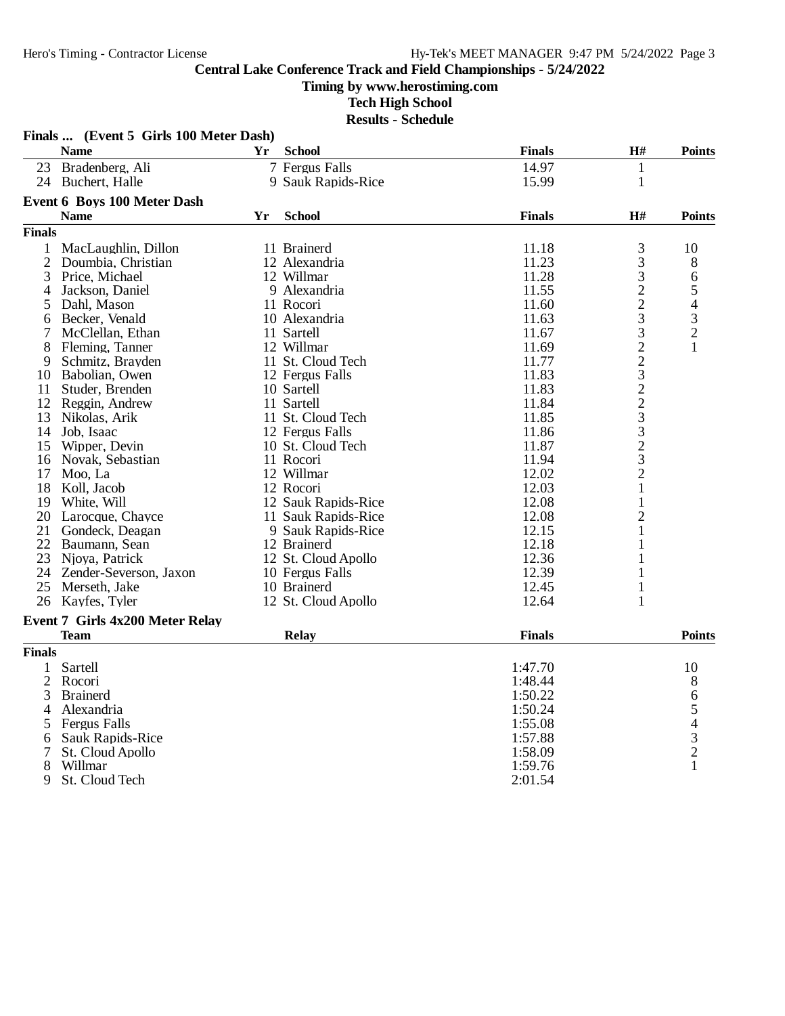#### **Timing by www.herostiming.com**

**Tech High School**

|                | Finals  (Event 5 Girls 100 Meter Dash) |    |                     |               |                                            |                                                 |
|----------------|----------------------------------------|----|---------------------|---------------|--------------------------------------------|-------------------------------------------------|
|                | <b>Name</b>                            | Yr | <b>School</b>       | <b>Finals</b> | $\mathbf{H}$ #                             | <b>Points</b>                                   |
|                | 23 Bradenberg, Ali                     |    | 7 Fergus Falls      | 14.97         | $\mathbf{1}$                               |                                                 |
|                | 24 Buchert, Halle                      |    | 9 Sauk Rapids-Rice  | 15.99         | $\mathbf{1}$                               |                                                 |
|                | <b>Event 6 Boys 100 Meter Dash</b>     |    |                     |               |                                            |                                                 |
|                | <b>Name</b>                            | Yr | <b>School</b>       | <b>Finals</b> | H#                                         | <b>Points</b>                                   |
| <b>Finals</b>  |                                        |    |                     |               |                                            |                                                 |
| 1              | MacLaughlin, Dillon                    |    | 11 Brainerd         | 11.18         | 3                                          | 10                                              |
| $\mathfrak{2}$ | Doumbia, Christian                     |    | 12 Alexandria       | 11.23         | 3                                          | 8                                               |
| 3              | Price, Michael                         |    | 12 Willmar          | 11.28         | 3                                          | 6                                               |
| 4              | Jackson, Daniel                        |    | 9 Alexandria        | 11.55         |                                            |                                                 |
| 5              | Dahl, Mason                            |    | 11 Rocori           | 11.60         | $\frac{2}{2}$                              | $\begin{array}{c} 5 \\ 4 \\ 3 \\ 2 \end{array}$ |
| 6              | Becker, Venald                         |    | 10 Alexandria       | 11.63         | 3                                          |                                                 |
| 7              | McClellan, Ethan                       |    | 11 Sartell          | 11.67         | 3                                          |                                                 |
| 8              | Fleming, Tanner                        |    | 12 Willmar          | 11.69         | $\overline{c}$                             | 1                                               |
| 9              | Schmitz, Brayden                       |    | 11 St. Cloud Tech   | 11.77         |                                            |                                                 |
| 10             | Babolian. Owen                         |    | 12 Fergus Falls     | 11.83         |                                            |                                                 |
| 11             | Studer, Brenden                        |    | 10 Sartell          | 11.83         |                                            |                                                 |
|                | 12 Reggin, Andrew                      |    | 11 Sartell          | 11.84         | $2322$<br>$23$                             |                                                 |
| 13             | Nikolas, Arik                          |    | 11 St. Cloud Tech   | 11.85         |                                            |                                                 |
|                | 14 Job, Isaac                          |    | 12 Fergus Falls     | 11.86         |                                            |                                                 |
| 15             | Wipper, Devin                          |    | 10 St. Cloud Tech   | 11.87         |                                            |                                                 |
| 16             | Novak, Sebastian                       |    | 11 Rocori           | 11.94         | $\begin{array}{c} 3 \\ 2 \\ 3 \end{array}$ |                                                 |
| 17             | Moo, La                                |    | 12 Willmar          | 12.02         | $\overline{c}$                             |                                                 |
| 18             | Koll, Jacob                            |    | 12 Rocori           | 12.03         | 1                                          |                                                 |
|                | 19 White, Will                         |    | 12 Sauk Rapids-Rice | 12.08         | 1                                          |                                                 |
|                | 20 Larocque, Chayce                    |    | 11 Sauk Rapids-Rice | 12.08         | $\overline{2}$                             |                                                 |
| 21             | Gondeck, Deagan                        |    | 9 Sauk Rapids-Rice  | 12.15         | 1                                          |                                                 |
|                | 22 Baumann, Sean                       |    | 12 Brainerd         | 12.18         |                                            |                                                 |
| 23             | Njoya, Patrick                         |    | 12 St. Cloud Apollo | 12.36         | 1                                          |                                                 |
|                | 24 Zender-Severson, Jaxon              |    | 10 Fergus Falls     | 12.39         | 1                                          |                                                 |
| 25             | Merseth, Jake                          |    | 10 Brainerd         | 12.45         | $\mathbf{1}$                               |                                                 |
|                | 26 Kayfes, Tyler                       |    | 12 St. Cloud Apollo | 12.64         | $\mathbf{1}$                               |                                                 |
|                | <b>Event 7 Girls 4x200 Meter Relay</b> |    |                     |               |                                            |                                                 |
|                | <b>Team</b>                            |    | <b>Relay</b>        | <b>Finals</b> |                                            | <b>Points</b>                                   |
| <b>Finals</b>  |                                        |    |                     |               |                                            |                                                 |
| 1              | Sartell                                |    |                     | 1:47.70       |                                            | 10                                              |
| 2              | Rocori                                 |    |                     | 1:48.44       |                                            | 8                                               |
| 3              | <b>Brainerd</b>                        |    |                     | 1:50.22       |                                            |                                                 |
| 4              | Alexandria                             |    |                     | 1:50.24       |                                            | $\begin{array}{c} 6 \\ 5 \end{array}$           |
| 5              | <b>Fergus Falls</b>                    |    |                     | 1:55.08       |                                            |                                                 |
| 6              | <b>Sauk Rapids-Rice</b>                |    |                     | 1:57.88       |                                            | $rac{4}{3}$                                     |
| 7              | St. Cloud Apollo                       |    |                     | 1:58.09       |                                            | $\overline{2}$                                  |
| 8              | Willmar                                |    |                     | 1:59.76       |                                            | 1                                               |
| 9              | St. Cloud Tech                         |    |                     | 2:01.54       |                                            |                                                 |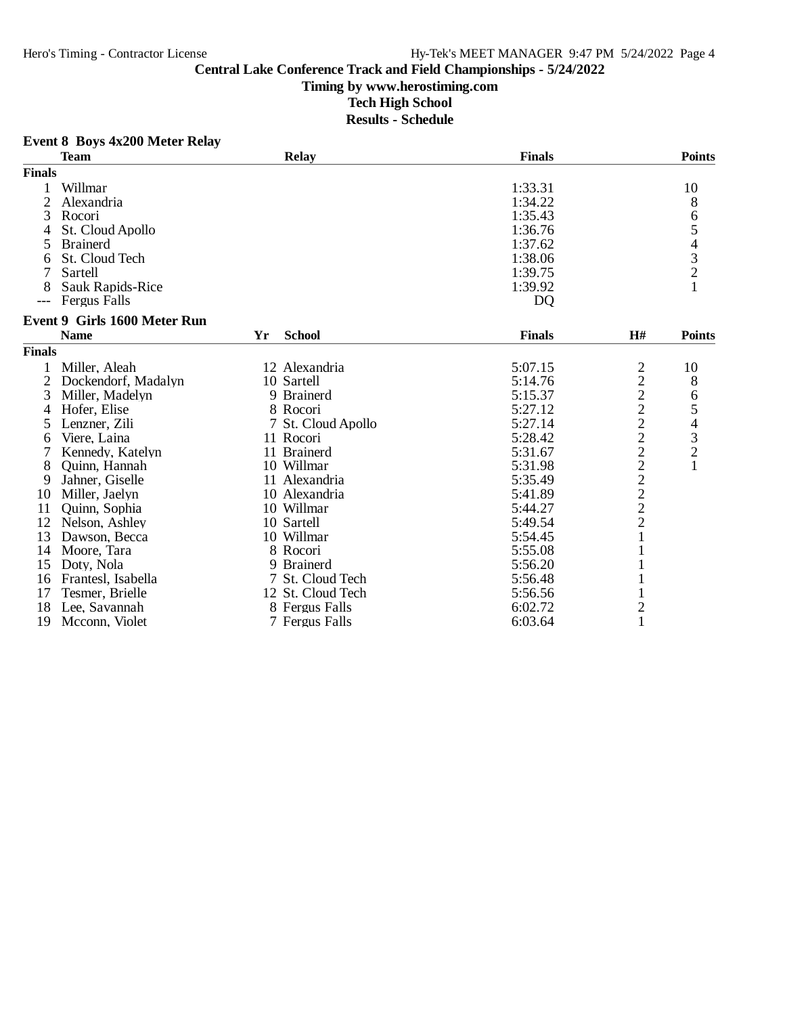**Timing by www.herostiming.com**

**Tech High School**

| <b>Event 8 Boys 4x200 Meter Relay</b> |  |  |  |  |
|---------------------------------------|--|--|--|--|
|---------------------------------------|--|--|--|--|

|                | <b>Team</b>                  |    | <b>Relay</b>       | <b>Finals</b> |                | <b>Points</b>                                   |
|----------------|------------------------------|----|--------------------|---------------|----------------|-------------------------------------------------|
| <b>Finals</b>  |                              |    |                    |               |                |                                                 |
|                | Willmar                      |    |                    | 1:33.31       |                | 10                                              |
| $\overline{2}$ | Alexandria                   |    |                    | 1:34.22       |                | 8                                               |
| 3              | Rocori                       |    |                    | 1:35.43       |                | 6                                               |
|                | St. Cloud Apollo             |    |                    | 1:36.76       |                | 5                                               |
| 5              | <b>Brainerd</b>              |    |                    | 1:37.62       |                |                                                 |
| 6              | St. Cloud Tech               |    |                    | 1:38.06       |                | $\begin{array}{c} 4 \\ 3 \\ 2 \\ 1 \end{array}$ |
|                | Sartell                      |    |                    | 1:39.75       |                |                                                 |
|                | Sauk Rapids-Rice             |    |                    | 1:39.92       |                |                                                 |
| ---            | Fergus Falls                 |    |                    | <b>DQ</b>     |                |                                                 |
|                | Event 9 Girls 1600 Meter Run |    |                    |               |                |                                                 |
|                | <b>Name</b>                  | Yr | <b>School</b>      | <b>Finals</b> | H#             | <b>Points</b>                                   |
| <b>Finals</b>  |                              |    |                    |               |                |                                                 |
|                | Miller, Aleah                |    | 12 Alexandria      | 5:07.15       | 2              | 10                                              |
| 2              | Dockendorf, Madalyn          |    | 10 Sartell         | 5:14.76       |                | 8                                               |
| 3              | Miller, Madelyn              |    | 9 Brainerd         | 5:15.37       |                | 6                                               |
| 4              | Hofer, Elise                 |    | 8 Rocori           | 5:27.12       |                |                                                 |
| 5              | Lenzner, Zili                |    | 7 St. Cloud Apollo | 5:27.14       |                | $\frac{5}{4}$                                   |
| 6              | Viere, Laina                 |    | 11 Rocori          | 5:28.42       |                |                                                 |
|                | Kennedy, Katelyn             |    | 11 Brainerd        | 5:31.67       |                | $\begin{array}{c} 3 \\ 2 \\ 1 \end{array}$      |
| 8              | Ouinn, Hannah                |    | 10 Willmar         | 5:31.98       |                |                                                 |
| 9              | Jahner, Giselle              |    | 11 Alexandria      | 5:35.49       | 2222222222     |                                                 |
| 10             | Miller, Jaelyn               |    | 10 Alexandria      | 5:41.89       |                |                                                 |
| 11             | Quinn, Sophia                |    | 10 Willmar         | 5:44.27       |                |                                                 |
| 12             | Nelson, Ashley               |    | 10 Sartell         | 5:49.54       |                |                                                 |
| 13             | Dawson, Becca                |    | 10 Willmar         | 5:54.45       | $\mathbf{1}$   |                                                 |
| 14             | Moore, Tara                  |    | 8 Rocori           | 5:55.08       |                |                                                 |
| 15             | Doty, Nola                   |    | 9 Brainerd         | 5:56.20       |                |                                                 |
| 16             | Frantesl, Isabella           |    | 7 St. Cloud Tech   | 5:56.48       |                |                                                 |
| 17             | Tesmer, Brielle              |    | 12 St. Cloud Tech  | 5:56.56       |                |                                                 |
| 18             | Lee, Savannah                |    | 8 Fergus Falls     | 6:02.72       | $\overline{c}$ |                                                 |
| 19             | Mcconn, Violet               |    | 7 Fergus Falls     | 6:03.64       | $\mathbf{1}$   |                                                 |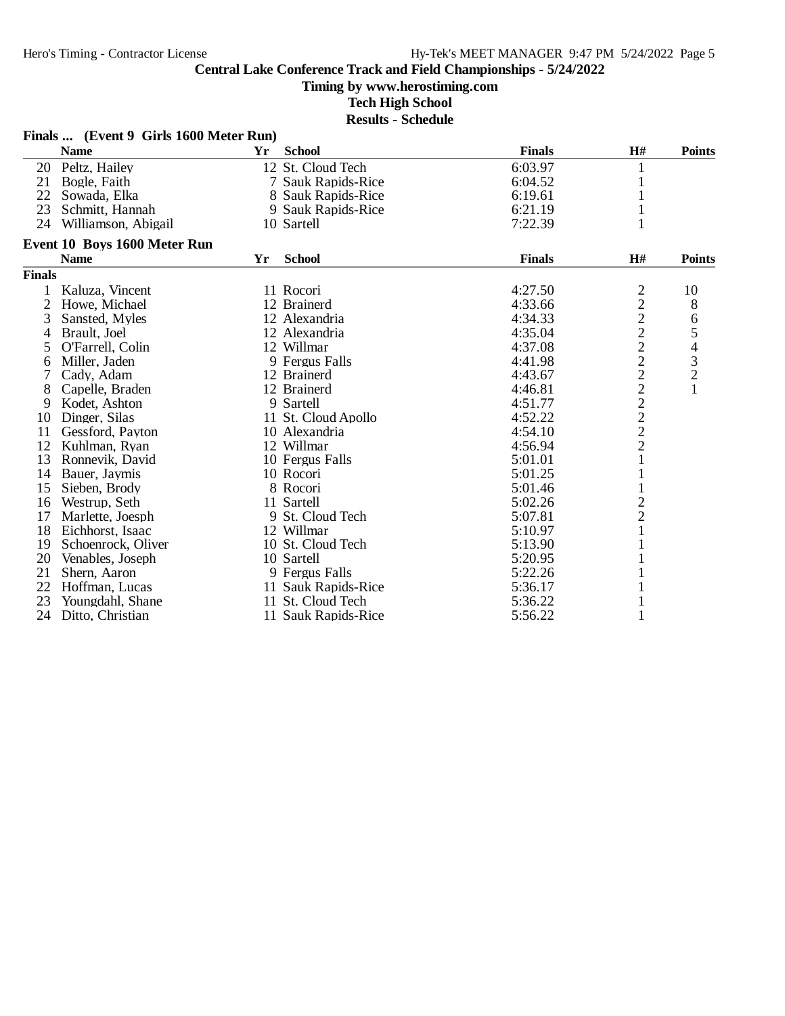**Timing by www.herostiming.com**

**Tech High School**

|                | Finals  (Event 9 Girls 1600 Meter Run) |    |                     |               |                                            |                  |
|----------------|----------------------------------------|----|---------------------|---------------|--------------------------------------------|------------------|
|                | <b>Name</b>                            | Yr | <b>School</b>       | <b>Finals</b> | H#                                         | <b>Points</b>    |
|                | 20 Peltz, Hailey                       |    | 12 St. Cloud Tech   | 6:03.97       | 1                                          |                  |
| 21             | Bogle, Faith                           |    | 7 Sauk Rapids-Rice  | 6:04.52       |                                            |                  |
| 22             | Sowada, Elka                           |    | 8 Sauk Rapids-Rice  | 6:19.61       |                                            |                  |
| 23             | Schmitt, Hannah                        |    | 9 Sauk Rapids-Rice  | 6:21.19       |                                            |                  |
| 24             | Williamson, Abigail                    |    | 10 Sartell          | 7:22.39       |                                            |                  |
|                | Event 10 Boys 1600 Meter Run           |    |                     |               |                                            |                  |
|                | <b>Name</b>                            | Yr | <b>School</b>       | <b>Finals</b> | H#                                         | <b>Points</b>    |
| <b>Finals</b>  |                                        |    |                     |               |                                            |                  |
|                | Kaluza, Vincent                        |    | 11 Rocori           | 4:27.50       | $\overline{c}$                             | 10               |
| $\overline{2}$ | Howe, Michael                          |    | 12 Brainerd         | 4:33.66       |                                            | 8                |
| 3              | Sansted, Myles                         |    | 12 Alexandria       | 4:34.33       |                                            | 6                |
| 4              | Brault, Joel                           |    | 12 Alexandria       | 4:35.04       |                                            |                  |
| 5              | O'Farrell, Colin                       |    | 12 Willmar          | 4:37.08       | $2222$<br>$222$                            | 5<br>4<br>3<br>2 |
| 6              | Miller, Jaden                          |    | 9 Fergus Falls      | 4:41.98       |                                            |                  |
| 7              | Cady, Adam                             |    | 12 Brainerd         | 4:43.67       |                                            |                  |
| 8              | Capelle, Braden                        |    | 12 Brainerd         | 4:46.81       | $\overline{c}$                             | $\mathbf{1}$     |
| 9              | Kodet, Ashton                          |    | 9 Sartell           | 4:51.77       |                                            |                  |
| 10             | Dinger, Silas                          |    | 11 St. Cloud Apollo | 4:52.22       | $\begin{array}{c} 2 \\ 2 \\ 2 \end{array}$ |                  |
| 11             | Gessford, Payton                       |    | 10 Alexandria       | 4:54.10       |                                            |                  |
| 12             | Kuhlman, Ryan                          |    | 12 Willmar          | 4:56.94       |                                            |                  |
| 13             | Ronnevik, David                        |    | 10 Fergus Falls     | 5:01.01       |                                            |                  |
| 14             | Bauer, Jaymis                          |    | 10 Rocori           | 5:01.25       |                                            |                  |
| 15             | Sieben, Brody                          |    | 8 Rocori            | 5:01.46       |                                            |                  |
| 16             | Westrup, Seth                          |    | 11 Sartell          | 5:02.26       | $\overline{c}$                             |                  |
| 17             | Marlette, Joesph                       |    | 9 St. Cloud Tech    | 5:07.81       | $\overline{c}$                             |                  |
| 18             | Eichhorst, Isaac                       |    | 12 Willmar          | 5:10.97       | $\mathbf{1}$                               |                  |
| 19             | Schoenrock, Oliver                     |    | 10 St. Cloud Tech   | 5:13.90       |                                            |                  |
| 20             | Venables, Joseph                       |    | 10 Sartell          | 5:20.95       |                                            |                  |
| 21             | Shern, Aaron                           |    | 9 Fergus Falls      | 5:22.26       |                                            |                  |
| 22             | Hoffman, Lucas                         |    | 11 Sauk Rapids-Rice | 5:36.17       |                                            |                  |
| 23             | Youngdahl, Shane                       |    | 11 St. Cloud Tech   | 5:36.22       |                                            |                  |
| 24             | Ditto, Christian                       |    | 11 Sauk Rapids-Rice | 5:56.22       |                                            |                  |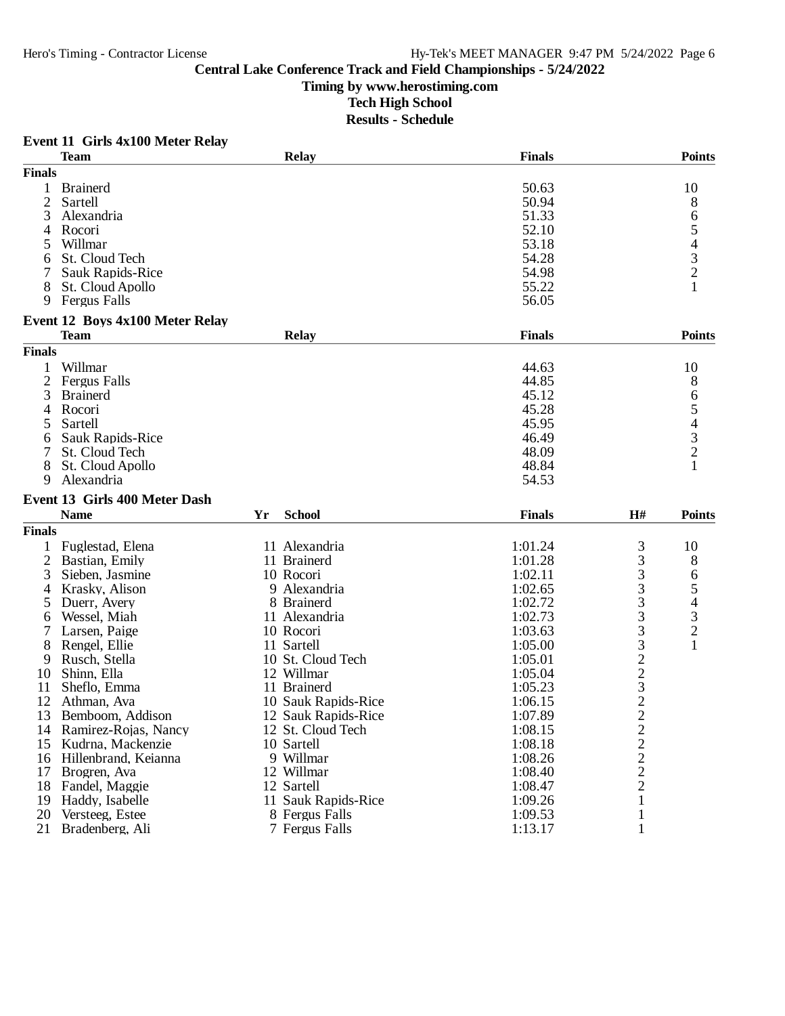**Timing by www.herostiming.com**

**Tech High School**

|               | <b>Team</b>                                    |    | <b>Relay</b>        | <b>Finals</b> |                | <b>Points</b>                                   |
|---------------|------------------------------------------------|----|---------------------|---------------|----------------|-------------------------------------------------|
| <b>Finals</b> |                                                |    |                     |               |                |                                                 |
| 1             | <b>Brainerd</b>                                |    |                     | 50.63         |                | 10                                              |
| 2             | Sartell                                        |    |                     | 50.94         |                | 8                                               |
| 3             | Alexandria                                     |    |                     | 51.33         |                | 6                                               |
| 4             | Rocori                                         |    |                     | 52.10         |                | 5                                               |
| 5             | Willmar                                        |    |                     | 53.18         |                | 4                                               |
| 6             | St. Cloud Tech                                 |    |                     | 54.28         |                | 3                                               |
|               | <b>Sauk Rapids-Rice</b>                        |    |                     | 54.98         |                | $\overline{c}$                                  |
| 8             | St. Cloud Apollo                               |    |                     | 55.22         |                |                                                 |
| 9             | <b>Fergus Falls</b>                            |    |                     | 56.05         |                |                                                 |
|               |                                                |    |                     |               |                |                                                 |
|               | Event 12 Boys 4x100 Meter Relay<br><b>Team</b> |    | <b>Relay</b>        | <b>Finals</b> |                | <b>Points</b>                                   |
| <b>Finals</b> |                                                |    |                     |               |                |                                                 |
|               |                                                |    |                     |               |                |                                                 |
|               | Willmar                                        |    |                     | 44.63         |                | 10                                              |
| 2             | <b>Fergus Falls</b>                            |    |                     | 44.85         |                | 8                                               |
| 3             | <b>Brainerd</b>                                |    |                     | 45.12         |                | 6                                               |
| 4             | Rocori                                         |    |                     | 45.28         |                | $\begin{array}{c} 5 \\ 4 \\ 3 \\ 2 \end{array}$ |
| 5             | Sartell                                        |    |                     | 45.95         |                |                                                 |
| 6             | Sauk Rapids-Rice                               |    |                     | 46.49         |                |                                                 |
| 7             | St. Cloud Tech                                 |    |                     | 48.09         |                |                                                 |
| 8             | St. Cloud Apollo                               |    |                     | 48.84         |                | 1                                               |
| 9             | Alexandria                                     |    |                     | 54.53         |                |                                                 |
|               | Event 13 Girls 400 Meter Dash                  |    |                     |               |                |                                                 |
|               | <b>Name</b>                                    | Yr | <b>School</b>       | <b>Finals</b> | H#             | <b>Points</b>                                   |
| <b>Finals</b> |                                                |    |                     |               |                |                                                 |
|               | Fuglestad, Elena                               |    | 11 Alexandria       | 1:01.24       | 3              | 10                                              |
| 2             | Bastian, Emily                                 |    | 11 Brainerd         | 1:01.28       | 3              | 8                                               |
| 3             | Sieben, Jasmine                                |    | 10 Rocori           | 1:02.11       | 3              | 6                                               |
| 4             | Krasky, Alison                                 |    | 9 Alexandria        | 1:02.65       | 3              | 5                                               |
| 5             | Duerr, Avery                                   |    | 8 Brainerd          | 1:02.72       | 3              | 4                                               |
| 6             | Wessel, Miah                                   |    | 11 Alexandria       | 1:02.73       | 3              | 3                                               |
|               | Larsen, Paige                                  |    | 10 Rocori           | 1:03.63       | 3              | $\overline{c}$                                  |
| 8             | Rengel, Ellie                                  |    | 11 Sartell          | 1:05.00       | 3              | 1                                               |
| 9             | Rusch, Stella                                  |    | 10 St. Cloud Tech   | 1:05.01       | $\overline{c}$ |                                                 |
| 10            | Shinn, Ella                                    |    | 12 Willmar          | 1:05.04       | $\overline{c}$ |                                                 |
| 11            | Sheflo, Emma                                   |    | 11 Brainerd         | 1:05.23       | 3              |                                                 |
| 12            | Athman, Ava                                    |    | 10 Sauk Rapids-Rice | 1:06.15       | $\overline{c}$ |                                                 |
| 13            | Bemboom, Addison                               |    | 12 Sauk Rapids-Rice | 1:07.89       | $\overline{2}$ |                                                 |
| 14            | Ramirez-Rojas, Nancy                           |    | 12 St. Cloud Tech   | 1:08.15       |                |                                                 |
| 15            | Kudrna, Mackenzie                              |    | 10 Sartell          | 1:08.18       | $\frac{2}{2}$  |                                                 |
|               |                                                |    | 9 Willmar           | 1:08.26       |                |                                                 |
| 16<br>17      | Hillenbrand, Keianna<br>Brogren, Ava           |    | 12 Willmar          | 1:08.40       | $\overline{c}$ |                                                 |
|               |                                                |    |                     |               | $\frac{2}{2}$  |                                                 |
| 18            | Fandel, Maggie                                 |    | 12 Sartell          | 1:08.47       |                |                                                 |
| 19            | Haddy, Isabelle                                |    | 11 Sauk Rapids-Rice | 1:09.26       | 1              |                                                 |
| 20            | Versteeg, Estee                                |    | 8 Fergus Falls      | 1:09.53       | 1              |                                                 |
| 21            | Bradenberg, Ali                                |    | 7 Fergus Falls      | 1:13.17       | 1              |                                                 |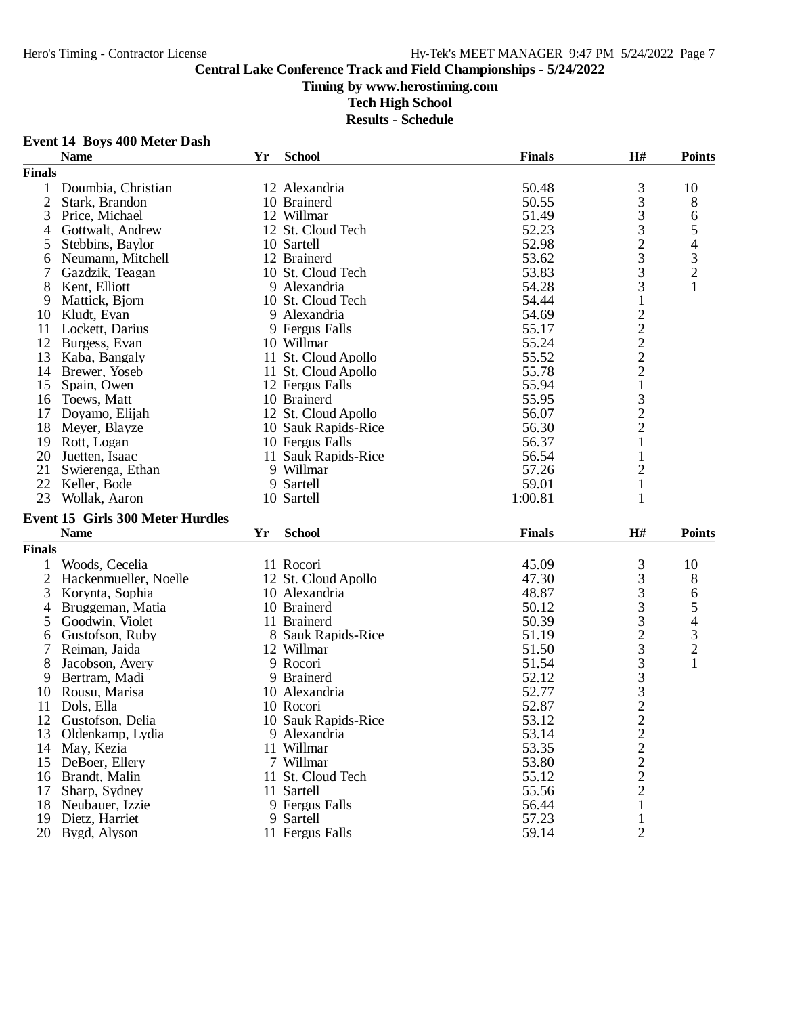**Event 14 Boys 400 Meter Dash**

#### **Central Lake Conference Track and Field Championships - 5/24/2022**

#### **Timing by www.herostiming.com**

**Tech High School**

|                | <b>Name</b>                             | Yr | <b>School</b>               | <b>Finals</b>  | H#                                                | <b>Points</b>                 |
|----------------|-----------------------------------------|----|-----------------------------|----------------|---------------------------------------------------|-------------------------------|
| <b>Finals</b>  |                                         |    |                             |                |                                                   |                               |
| $\mathbf{1}$   | Doumbia, Christian                      |    | 12 Alexandria               | 50.48          |                                                   | 10                            |
| $\overline{2}$ | Stark, Brandon                          |    | 10 Brainerd                 | 50.55          | $\frac{3}{3}$                                     | 8                             |
| 3              | Price, Michael                          |    | 12 Willmar                  | 51.49          |                                                   | 6                             |
| 4              | Gottwalt, Andrew                        |    | 12 St. Cloud Tech           | 52.23          | $\frac{3}{3}$                                     | 5                             |
| 5              | Stebbins, Baylor                        |    | 10 Sartell                  | 52.98          |                                                   | 4                             |
| 6              | Neumann, Mitchell                       |    | 12 Brainerd                 | 53.62          | $\frac{2}{3}$                                     |                               |
| 7              | Gazdzik, Teagan                         |    | 10 St. Cloud Tech           | 53.83          |                                                   | $\frac{3}{2}$                 |
| 8              | Kent, Elliott                           |    | 9 Alexandria                | 54.28          | $\frac{3}{3}$                                     | $\mathbf{1}$                  |
| 9              | Mattick, Bjorn                          |    | 10 St. Cloud Tech           | 54.44          | $\,1$                                             |                               |
| 10             | Kludt, Evan                             |    | 9 Alexandria                | 54.69          |                                                   |                               |
| 11             | Lockett, Darius                         |    | 9 Fergus Falls              | 55.17          | $2222$<br>$221$                                   |                               |
| 12             | Burgess, Evan                           |    | 10 Willmar                  | 55.24          |                                                   |                               |
| 13             | Kaba, Bangaly                           |    | 11 St. Cloud Apollo         | 55.52          |                                                   |                               |
| 14             | Brewer, Yoseb                           |    | 11 St. Cloud Apollo         | 55.78          |                                                   |                               |
| 15             | Spain, Owen                             |    | 12 Fergus Falls             | 55.94          |                                                   |                               |
| 16             | Toews, Matt                             |    | 10 Brainerd                 | 55.95          | 3                                                 |                               |
| 17             | Doyamo, Elijah                          |    | 12 St. Cloud Apollo         | 56.07          |                                                   |                               |
| 18             | Meyer, Blayze                           |    | 10 Sauk Rapids-Rice         | 56.30          | $\frac{2}{2}$                                     |                               |
| 19             | Rott, Logan                             |    | 10 Fergus Falls             | 56.37          | $\mathbf{1}$                                      |                               |
|                | 20 Juetten, Isaac                       |    | 11 Sauk Rapids-Rice         | 56.54          | $\mathbf{1}$                                      |                               |
| 21             | Swierenga, Ethan                        |    | 9 Willmar                   | 57.26          | $\overline{c}$                                    |                               |
|                | 22 Keller, Bode                         |    | 9 Sartell                   | 59.01          | $\mathbf{1}$                                      |                               |
| 23             | Wollak, Aaron                           |    | 10 Sartell                  | 1:00.81        | $\mathbf{1}$                                      |                               |
|                |                                         |    |                             |                |                                                   |                               |
|                |                                         |    |                             |                |                                                   |                               |
|                | <b>Event 15 Girls 300 Meter Hurdles</b> |    |                             |                |                                                   |                               |
|                | <b>Name</b>                             | Yr | <b>School</b>               | <b>Finals</b>  | $\mathbf{H}$ #                                    | <b>Points</b>                 |
| <b>Finals</b>  |                                         |    |                             |                |                                                   |                               |
| 1              | Woods, Cecelia                          |    | 11 Rocori                   | 45.09          |                                                   | 10                            |
| $\overline{2}$ | Hackenmueller, Noelle                   |    | 12 St. Cloud Apollo         | 47.30          | 3                                                 | 8                             |
| 3              | Korynta, Sophia                         |    | 10 Alexandria               | 48.87          | 3                                                 |                               |
| 4              | Bruggeman, Matia                        |    | 10 Brainerd                 | 50.12          |                                                   | 6                             |
| 5              | Goodwin, Violet                         |    | 11 Brainerd                 | 50.39          |                                                   | 5                             |
| 6              | Gustofson, Ruby                         |    | 8 Sauk Rapids-Rice          | 51.19          |                                                   | $\overline{\mathcal{A}}$      |
| 7              | Reiman, Jaida                           |    | 12 Willmar                  | 51.50          |                                                   |                               |
| 8              | Jacobson, Avery                         |    | 9 Rocori                    | 51.54          |                                                   | $\frac{3}{2}$<br>$\mathbf{1}$ |
| 9              |                                         |    | 9 Brainerd                  | 52.12          |                                                   |                               |
|                | Bertram, Madi                           |    | 10 Alexandria               | 52.77          |                                                   |                               |
| 10             | Rousu, Marisa                           |    |                             |                |                                                   |                               |
| 11             | Dols, Ella                              |    | 10 Rocori                   | 52.87          | 333233322                                         |                               |
| 12<br>13       | Gustofson, Delia                        |    | 10 Sauk Rapids-Rice         | 53.12          |                                                   |                               |
|                | Oldenkamp, Lydia                        |    | 9 Alexandria                | 53.14          |                                                   |                               |
| 14             | May, Kezia                              |    | 11 Willmar<br>7 Willmar     | 53.35          |                                                   |                               |
| 15<br>16       | DeBoer, Ellery                          |    |                             | 53.80          |                                                   |                               |
| 17             | Brandt, Malin                           |    | 11 St. Cloud Tech           | 55.12          |                                                   |                               |
|                | Sharp, Sydney                           |    | 11 Sartell                  | 55.56          | $\begin{array}{c}\n2 \\ 2 \\ 2 \\ 2\n\end{array}$ |                               |
| 18             | Neubauer, Izzie<br>19 Dietz, Harriet    |    | 9 Fergus Falls<br>9 Sartell | 56.44<br>57.23 | $\mathbf{1}$<br>$\mathbf{1}$                      |                               |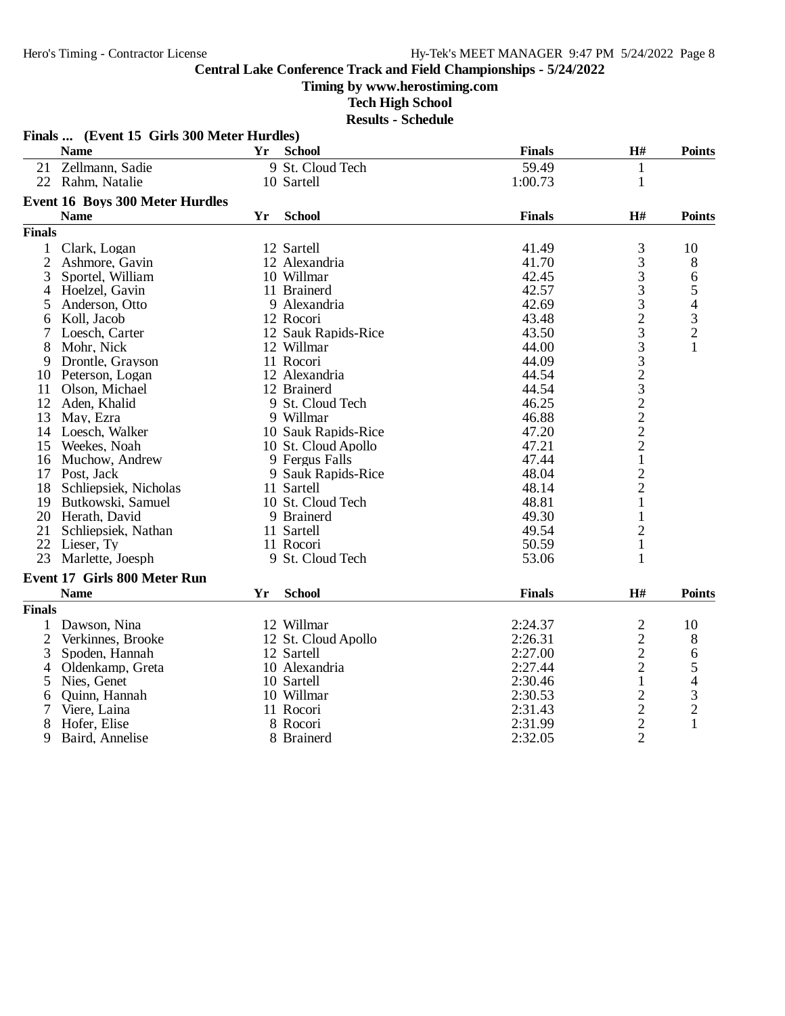**Timing by www.herostiming.com**

**Tech High School**

|                | Finals  (Event 15 Girls 300 Meter Hurdles) |    |                     |               |                |                                                 |
|----------------|--------------------------------------------|----|---------------------|---------------|----------------|-------------------------------------------------|
|                | <b>Name</b>                                | Yr | <b>School</b>       | <b>Finals</b> | H#             | <b>Points</b>                                   |
| 21             | Zellmann, Sadie                            |    | 9 St. Cloud Tech    | 59.49         | $\mathbf{1}$   |                                                 |
|                | 22 Rahm, Natalie                           |    | 10 Sartell          | 1:00.73       | $\mathbf{1}$   |                                                 |
|                | <b>Event 16 Boys 300 Meter Hurdles</b>     |    |                     |               |                |                                                 |
|                | <b>Name</b>                                | Yr | <b>School</b>       | <b>Finals</b> | H#             | <b>Points</b>                                   |
| <b>Finals</b>  |                                            |    |                     |               |                |                                                 |
| 1              | Clark, Logan                               |    | 12 Sartell          | 41.49         | 3              | 10                                              |
| $\overline{c}$ | Ashmore, Gavin                             |    | 12 Alexandria       | 41.70         | 3              | 8                                               |
| 3              | Sportel, William                           |    | 10 Willmar          | 42.45         | 3              | 6                                               |
| 4              | Hoelzel, Gavin                             |    | 11 Brainerd         | 42.57         | 3              |                                                 |
| 5              | Anderson, Otto                             |    | 9 Alexandria        | 42.69         | 3              | $\begin{array}{c} 5 \\ 4 \\ 3 \\ 2 \end{array}$ |
| 6              | Koll, Jacob                                |    | 12 Rocori           | 43.48         | $\overline{c}$ |                                                 |
| 7              | Loesch, Carter                             |    | 12 Sauk Rapids-Rice | 43.50         | 3              |                                                 |
| 8              | Mohr, Nick                                 |    | 12 Willmar          | 44.00         | 3              | $\mathbf{1}$                                    |
| 9              | Drontle, Grayson                           |    | 11 Rocori           | 44.09         | 3              |                                                 |
| 10             | Peterson, Logan                            |    | 12 Alexandria       | 44.54         |                |                                                 |
| 11             | Olson, Michael                             |    | 12 Brainerd         | 44.54         |                |                                                 |
| 12             | Aden, Khalid                               |    | 9 St. Cloud Tech    | 46.25         | $\frac{2}{3}$  |                                                 |
| 13             | May, Ezra                                  |    | 9 Willmar           | 46.88         | $\overline{c}$ |                                                 |
| 14             | Loesch, Walker                             |    | 10 Sauk Rapids-Rice | 47.20         | $\overline{c}$ |                                                 |
| 15             | Weekes, Noah                               |    | 10 St. Cloud Apollo | 47.21         | $\overline{c}$ |                                                 |
| 16             | Muchow, Andrew                             |    | 9 Fergus Falls      | 47.44         | $\mathbf{1}$   |                                                 |
|                | 17 Post, Jack                              |    | 9 Sauk Rapids-Rice  | 48.04         | $\overline{c}$ |                                                 |
| 18             | Schliepsiek, Nicholas                      |    | 11 Sartell          | 48.14         | $\overline{c}$ |                                                 |
|                | 19 Butkowski, Samuel                       |    | 10 St. Cloud Tech   | 48.81         | 1              |                                                 |
|                | 20 Herath, David                           |    | 9 Brainerd          | 49.30         | 1              |                                                 |
| 21             | Schliepsiek, Nathan                        |    | 11 Sartell          | 49.54         | $\overline{c}$ |                                                 |
|                | 22 Lieser, Ty                              |    | 11 Rocori           | 50.59         | $\mathbf{1}$   |                                                 |
| 23             | Marlette, Joesph                           |    | 9 St. Cloud Tech    | 53.06         | 1              |                                                 |
|                | <b>Event 17 Girls 800 Meter Run</b>        |    |                     |               |                |                                                 |
|                | <b>Name</b>                                | Yr | <b>School</b>       | <b>Finals</b> | H#             | <b>Points</b>                                   |
| <b>Finals</b>  |                                            |    |                     |               |                |                                                 |
| 1              | Dawson, Nina                               |    | 12 Willmar          | 2:24.37       | $\mathbf{2}$   | 10                                              |
| $\overline{c}$ | Verkinnes, Brooke                          |    | 12 St. Cloud Apollo | 2:26.31       | $\overline{c}$ | 8                                               |
| 3              | Spoden, Hannah                             |    | 12 Sartell          | 2:27.00       | $\overline{c}$ | 6                                               |
| 4              | Oldenkamp, Greta                           |    | 10 Alexandria       | 2:27.44       | $\overline{c}$ |                                                 |
| 5              | Nies, Genet                                |    | 10 Sartell          | 2:30.46       | $\mathbf{1}$   | $\frac{5}{4}$                                   |
| 6              | Quinn, Hannah                              |    | 10 Willmar          | 2:30.53       | $\overline{c}$ |                                                 |
| 7              | Viere, Laina                               |    | 11 Rocori           | 2:31.43       | $\overline{c}$ | $\frac{3}{2}$                                   |
| 8              | Hofer, Elise                               |    | 8 Rocori            | 2:31.99       | $\overline{c}$ | $\mathbf{1}$                                    |
| 9              | Baird, Annelise                            |    | 8 Brainerd          | 2:32.05       | $\overline{2}$ |                                                 |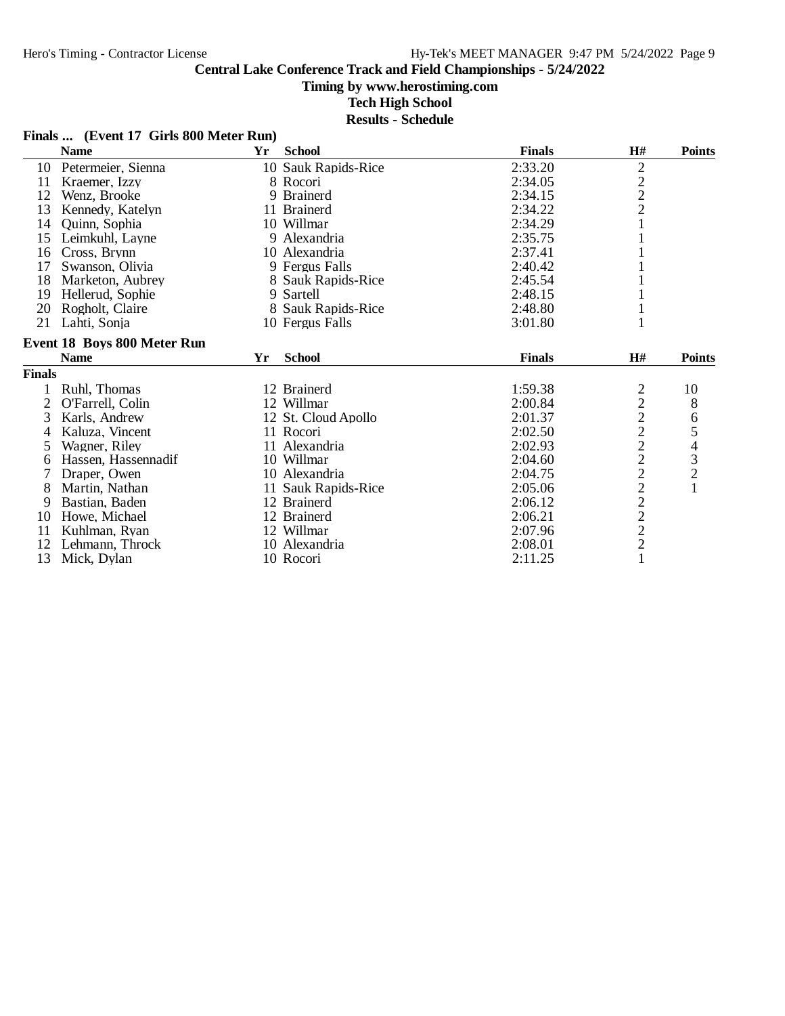#### **Timing by www.herostiming.com**

**Tech High School**

**Results - Schedule**

#### **Finals ... (Event 17 Girls 800 Meter Run)**

|                | <b>Name</b>                        | Yr | <b>School</b>       | <b>Finals</b> | H#             | <b>Points</b> |
|----------------|------------------------------------|----|---------------------|---------------|----------------|---------------|
| 10             | Petermeier, Sienna                 |    | 10 Sauk Rapids-Rice | 2:33.20       | $\overline{c}$ |               |
| 11             | Kraemer, Izzy                      |    | 8 Rocori            | 2:34.05       |                |               |
| 12             | Wenz, Brooke                       |    | 9 Brainerd          | 2:34.15       | $\frac{2}{2}$  |               |
| 13             | Kennedy, Katelyn                   |    | 11 Brainerd         | 2:34.22       |                |               |
| 14             | Quinn, Sophia                      |    | 10 Willmar          | 2:34.29       |                |               |
| 15             | Leimkuhl, Layne                    |    | 9 Alexandria        | 2:35.75       |                |               |
| 16             | Cross, Brynn                       |    | 10 Alexandria       | 2:37.41       |                |               |
| 17             | Swanson, Olivia                    |    | 9 Fergus Falls      | 2:40.42       |                |               |
| 18             | Marketon, Aubrey                   |    | 8 Sauk Rapids-Rice  | 2:45.54       |                |               |
| 19             | Hellerud, Sophie                   |    | 9 Sartell           | 2:48.15       |                |               |
| 20             | Rogholt, Claire                    |    | 8 Sauk Rapids-Rice  | 2:48.80       | 1              |               |
| 21             | Lahti, Sonja                       |    | 10 Fergus Falls     | 3:01.80       | 1              |               |
|                | <b>Event 18 Boys 800 Meter Run</b> |    |                     |               |                |               |
|                | <b>Name</b>                        | Yr | <b>School</b>       | <b>Finals</b> | H#             | <b>Points</b> |
| <b>Finals</b>  |                                    |    |                     |               |                |               |
|                | Ruhl, Thomas                       |    | 12 Brainerd         | 1:59.38       |                | 10            |
| $\overline{2}$ | O'Farrell, Colin                   |    | 12 Willmar          | 2:00.84       |                | $8\,$         |
| 3              | Karls, Andrew                      |    | 12 St. Cloud Apollo | 2:01.37       |                | 6             |
| 4              | Kaluza, Vincent                    |    | 11 Rocori           | 2:02.50       |                |               |
| 5              | Wagner, Riley                      |    | 11 Alexandria       | 2:02.93       |                | 54321         |
| 6              | Hassen, Hassennadif                |    | 10 Willmar          | 2:04.60       |                |               |
| 7              | Draper, Owen                       |    | 10 Alexandria       | 2:04.75       |                |               |
| 8              | Martin, Nathan                     |    | 11 Sauk Rapids-Rice | 2:05.06       |                |               |
| 9              | Bastian, Baden                     |    | 12 Brainerd         | 2:06.12       |                |               |
| 10             | Howe, Michael                      |    | 12 Brainerd         | 2:06.21       |                |               |
| 11             | Kuhlman, Ryan                      |    | 12 Willmar          | 2:07.96       | 22222222221    |               |
| 12             | Lehmann. Throck                    |    | 10 Alexandria       | 2:08.01       |                |               |
| 13             | Mick, Dylan                        |    | 10 Rocori           | 2:11.25       |                |               |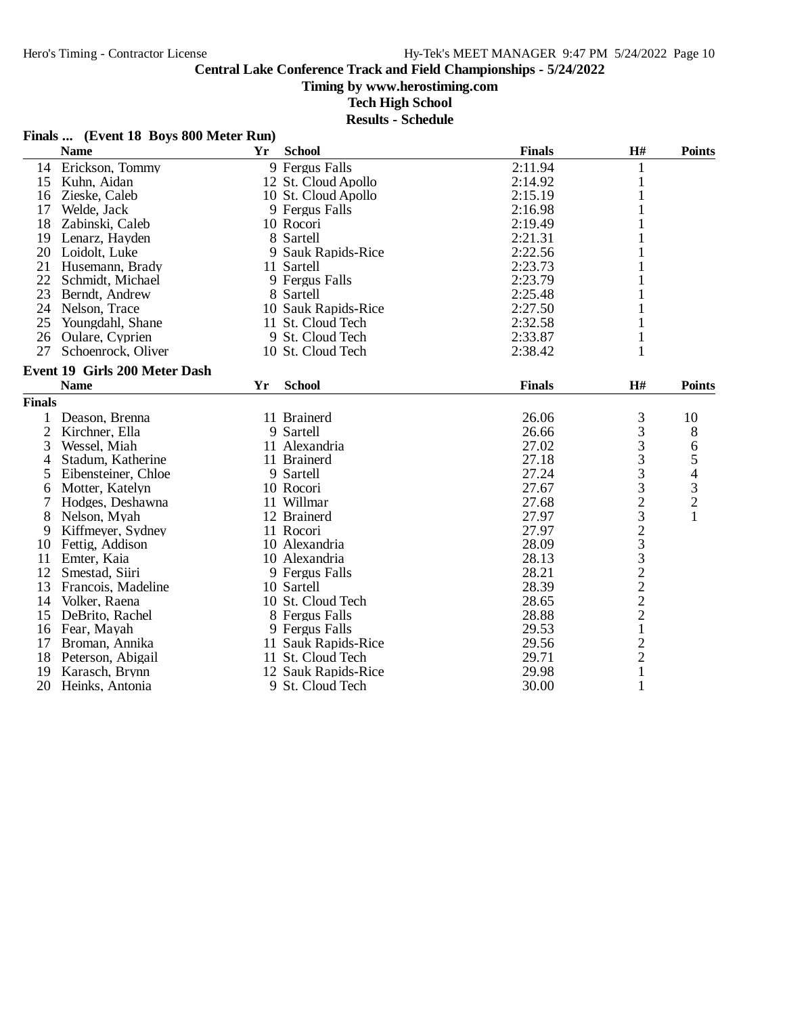**Timing by www.herostiming.com**

**Tech High School**

|                | <b>Name</b>                   | Yr | <b>School</b>       | <b>Finals</b> | H#            | <b>Points</b>  |
|----------------|-------------------------------|----|---------------------|---------------|---------------|----------------|
| 14             | Erickson, Tommy               |    | 9 Fergus Falls      | 2:11.94       | 1             |                |
| 15             | Kuhn, Aidan                   |    | 12 St. Cloud Apollo | 2:14.92       | 1             |                |
| 16             | Zieske, Caleb                 |    | 10 St. Cloud Apollo | 2:15.19       |               |                |
| 17             | Welde, Jack                   |    | 9 Fergus Falls      | 2:16.98       |               |                |
| 18             | Zabinski, Caleb               |    | 10 Rocori           | 2:19.49       |               |                |
| 19             | Lenarz, Hayden                |    | 8 Sartell           | 2:21.31       |               |                |
| 20             | Loidolt, Luke                 |    | 9 Sauk Rapids-Rice  | 2:22.56       |               |                |
| 21             | Husemann, Brady               |    | 11 Sartell          | 2:23.73       |               |                |
| 22             | Schmidt, Michael              |    | 9 Fergus Falls      | 2:23.79       |               |                |
| 23             | Berndt, Andrew                |    | 8 Sartell           | 2:25.48       |               |                |
| 24             | Nelson, Trace                 |    | 10 Sauk Rapids-Rice | 2:27.50       |               |                |
| 25             | Youngdahl, Shane              |    | 11 St. Cloud Tech   | 2:32.58       |               |                |
| 26             | Oulare, Cyprien               |    | 9 St. Cloud Tech    | 2:33.87       | $\mathbf{1}$  |                |
| 27             | Schoenrock, Oliver            |    | 10 St. Cloud Tech   | 2:38.42       | 1             |                |
|                | Event 19 Girls 200 Meter Dash |    |                     |               |               |                |
|                | <b>Name</b>                   | Yr | <b>School</b>       | <b>Finals</b> | H#            | <b>Points</b>  |
| <b>Finals</b>  |                               |    |                     |               |               |                |
| 1              | Deason, Brenna                |    | 11 Brainerd         | 26.06         | 3             | 10             |
| $\overline{c}$ | Kirchner, Ella                |    | 9 Sartell           | 26.66         | 3             | 8              |
| 3              | Wessel, Miah                  |    | 11 Alexandria       | 27.02         | 3             | 6              |
| 4              | Stadum, Katherine             |    | 11 Brainerd         | 27.18         | 3             |                |
| 5              | Eibensteiner, Chloe           |    | 9 Sartell           | 27.24         | 3             | $54$<br>3<br>2 |
| 6              | Motter, Katelyn               |    | 10 Rocori           | 27.67         |               |                |
| 7              | Hodges, Deshawna              |    | 11 Willmar          | 27.68         |               |                |
| 8              | Nelson, Myah                  |    | 12 Brainerd         | 27.97         |               | $\mathbf{1}$   |
| 9              | Kiffmeyer, Sydney             |    | 11 Rocori           | 27.97         |               |                |
| 10             | Fettig, Addison               |    | 10 Alexandria       | 28.09         |               |                |
| 11             | Emter, Kaia                   |    | 10 Alexandria       | 28.13         |               |                |
| 12             | Smestad, Siiri                |    | 9 Fergus Falls      | 28.21         |               |                |
| 13             | Francois, Madeline            |    | 10 Sartell          | 28.39         |               |                |
| 14             | Volker, Raena                 |    | 10 St. Cloud Tech   | 28.65         | 3232322221    |                |
| 15             | DeBrito, Rachel               |    | 8 Fergus Falls      | 28.88         |               |                |
| 16             | Fear, Mayah                   |    | 9 Fergus Falls      | 29.53         |               |                |
| 17             | Broman, Annika                |    | 11 Sauk Rapids-Rice | 29.56         |               |                |
| 18             | Peterson, Abigail             |    | 11 St. Cloud Tech   | 29.71         | $\frac{2}{2}$ |                |
| 19             | Karasch, Brynn                |    | 12 Sauk Rapids-Rice | 29.98         | $\mathbf{1}$  |                |
| 20             | Heinks, Antonia               |    | 9 St. Cloud Tech    | 30.00         | $\mathbf{1}$  |                |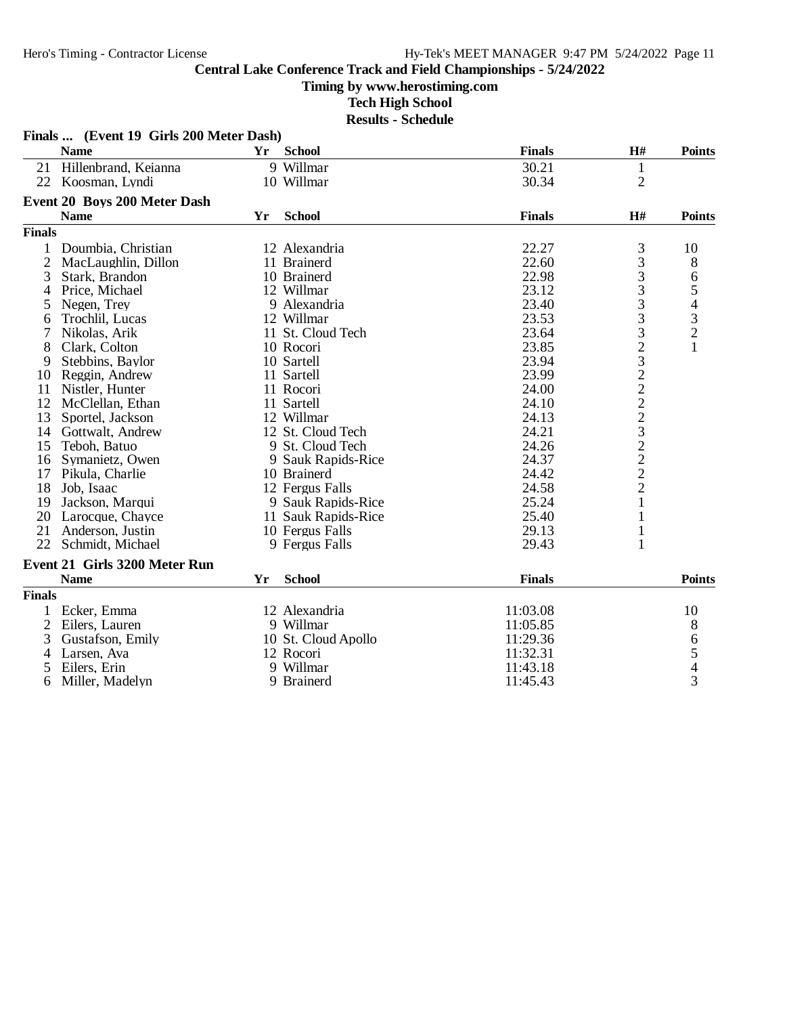#### **Timing by www.herostiming.com**

**Tech High School**

|                | Finals  (Event 19 Girls 200 Meter Dash) |    |                     |               |                |                |
|----------------|-----------------------------------------|----|---------------------|---------------|----------------|----------------|
|                | <b>Name</b>                             | Yr | <b>School</b>       | <b>Finals</b> | H#             | <b>Points</b>  |
| 21             | Hillenbrand, Keianna                    |    | 9 Willmar           | 30.21         | $\mathbf{1}$   |                |
|                | 22 Koosman, Lyndi                       |    | 10 Willmar          | 30.34         | $\overline{2}$ |                |
|                | <b>Event 20 Boys 200 Meter Dash</b>     |    |                     |               |                |                |
|                | <b>Name</b>                             | Yr | <b>School</b>       | <b>Finals</b> | $\mathbf{H}$ # | <b>Points</b>  |
| <b>Finals</b>  |                                         |    |                     |               |                |                |
|                | Doumbia, Christian                      |    | 12 Alexandria       | 22.27         | 3              | 10             |
| $\overline{2}$ | MacLaughlin, Dillon                     |    | 11 Brainerd         | 22.60         | 3              | 8              |
| 3              | Stark, Brandon                          |    | 10 Brainerd         | 22.98         | 3              | 6              |
| 4              | Price, Michael                          |    | 12 Willmar          | 23.12         | 3              |                |
| 5              | Negen, Trey                             |    | 9 Alexandria        | 23.40         | 3              |                |
| 6              | Trochlil, Lucas                         |    | 12 Willmar          | 23.53         | 3              |                |
| 7              | Nikolas, Arik                           |    | 11 St. Cloud Tech   | 23.64         |                | 5432           |
| 8              | Clark, Colton                           |    | 10 Rocori           | 23.85         |                | $\mathbf{1}$   |
| 9              | Stebbins, Baylor                        |    | 10 Sartell          | 23.94         |                |                |
| 10             | Reggin, Andrew                          |    | 11 Sartell          | 23.99         | 32322232222    |                |
| 11             | Nistler, Hunter                         |    | 11 Rocori           | 24.00         |                |                |
| 12             | McClellan, Ethan                        |    | 11 Sartell          | 24.10         |                |                |
| 13             | Sportel, Jackson                        |    | 12 Willmar          | 24.13         |                |                |
| 14             | Gottwalt, Andrew                        |    | 12 St. Cloud Tech   | 24.21         |                |                |
| 15             | Teboh, Batuo                            |    | 9 St. Cloud Tech    | 24.26         |                |                |
| 16             | Symanietz, Owen                         |    | 9 Sauk Rapids-Rice  | 24.37         |                |                |
| 17             | Pikula, Charlie                         |    | 10 Brainerd         | 24.42         |                |                |
| 18             | Job, Isaac                              |    | 12 Fergus Falls     | 24.58         |                |                |
| 19             | Jackson, Marqui                         |    | 9 Sauk Rapids-Rice  | 25.24         | $\mathbf{1}$   |                |
| 20             | Larocque, Chayce                        |    | 11 Sauk Rapids-Rice | 25.40         | $\mathbf{1}$   |                |
| 21             | Anderson, Justin                        |    | 10 Fergus Falls     | 29.13         | $\mathbf{1}$   |                |
| 22             | Schmidt, Michael                        |    | 9 Fergus Falls      | 29.43         | $\mathbf{1}$   |                |
|                | <b>Event 21 Girls 3200 Meter Run</b>    |    |                     |               |                |                |
|                | <b>Name</b>                             | Yr | <b>School</b>       | <b>Finals</b> |                | <b>Points</b>  |
| <b>Finals</b>  |                                         |    |                     |               |                |                |
| 1              | Ecker, Emma                             |    | 12 Alexandria       | 11:03.08      |                | 10             |
| $\overline{2}$ | Eilers, Lauren                          |    | 9 Willmar           | 11:05.85      |                | 8              |
| 3              | Gustafson, Emily                        |    | 10 St. Cloud Apollo | 11:29.36      |                | 6              |
| $\overline{4}$ | Larsen, Ava                             |    | 12 Rocori           | 11:32.31      |                |                |
| 5              | Eilers, Erin                            |    | 9 Willmar           | 11:43.18      |                | $\frac{5}{4}$  |
| 6              | Miller, Madelyn                         |    | 9 Brainerd          | 11:45.43      |                | $\overline{3}$ |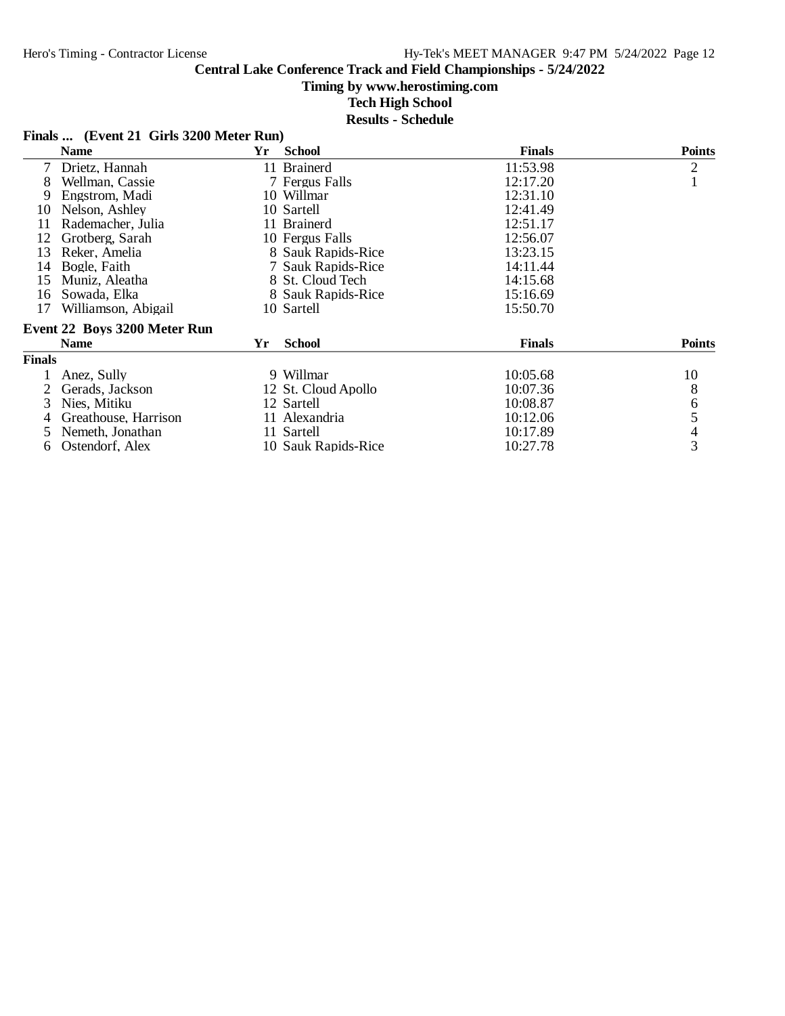#### **Timing by www.herostiming.com**

**Tech High School**

| Finals  (Event 21 Girls 3200 Meter Run) |  |  |
|-----------------------------------------|--|--|
|-----------------------------------------|--|--|

| <b>Name</b>                  | Yr | <b>School</b> | <b>Finals</b>                                                                                                                                                                                                                                                                                           | <b>Points</b>  |
|------------------------------|----|---------------|---------------------------------------------------------------------------------------------------------------------------------------------------------------------------------------------------------------------------------------------------------------------------------------------------------|----------------|
| Drietz, Hannah               |    |               | 11:53.98                                                                                                                                                                                                                                                                                                | $\overline{2}$ |
| Wellman, Cassie              |    |               | 12:17.20                                                                                                                                                                                                                                                                                                |                |
| Engstrom, Madi               |    |               | 12:31.10                                                                                                                                                                                                                                                                                                |                |
| Nelson, Ashley               |    |               | 12:41.49                                                                                                                                                                                                                                                                                                |                |
| Rademacher, Julia            |    |               | 12:51.17                                                                                                                                                                                                                                                                                                |                |
| Grotberg, Sarah              |    |               | 12:56.07                                                                                                                                                                                                                                                                                                |                |
| Reker, Amelia                |    |               | 13:23.15                                                                                                                                                                                                                                                                                                |                |
| Bogle, Faith                 |    |               | 14:11.44                                                                                                                                                                                                                                                                                                |                |
| Muniz, Aleatha               |    |               | 14:15.68                                                                                                                                                                                                                                                                                                |                |
| Sowada, Elka                 |    |               | 15:16.69                                                                                                                                                                                                                                                                                                |                |
| Williamson, Abigail          |    |               | 15:50.70                                                                                                                                                                                                                                                                                                |                |
| Event 22 Boys 3200 Meter Run |    |               |                                                                                                                                                                                                                                                                                                         |                |
| <b>Name</b>                  | Yr | <b>School</b> | <b>Finals</b>                                                                                                                                                                                                                                                                                           | <b>Points</b>  |
| <b>Finals</b>                |    |               |                                                                                                                                                                                                                                                                                                         |                |
| Anez, Sully                  |    |               | 10:05.68                                                                                                                                                                                                                                                                                                | 10             |
| Gerads, Jackson              |    |               | 10:07.36                                                                                                                                                                                                                                                                                                | 8              |
| Nies, Mitiku                 |    |               | 10:08.87                                                                                                                                                                                                                                                                                                | 6              |
| Greathouse, Harrison         |    |               | 10:12.06                                                                                                                                                                                                                                                                                                | 5              |
| Nemeth, Jonathan             |    |               | 10:17.89                                                                                                                                                                                                                                                                                                | $\overline{4}$ |
| Ostendorf, Alex              |    |               | 10:27.78                                                                                                                                                                                                                                                                                                | $\overline{3}$ |
|                              |    |               | 11 Brainerd<br>7 Fergus Falls<br>10 Willmar<br>10 Sartell<br>11 Brainerd<br>10 Fergus Falls<br>8 Sauk Rapids-Rice<br>7 Sauk Rapids-Rice<br>8 St. Cloud Tech<br>8 Sauk Rapids-Rice<br>10 Sartell<br>9 Willmar<br>12 St. Cloud Apollo<br>12 Sartell<br>11 Alexandria<br>11 Sartell<br>10 Sauk Rapids-Rice |                |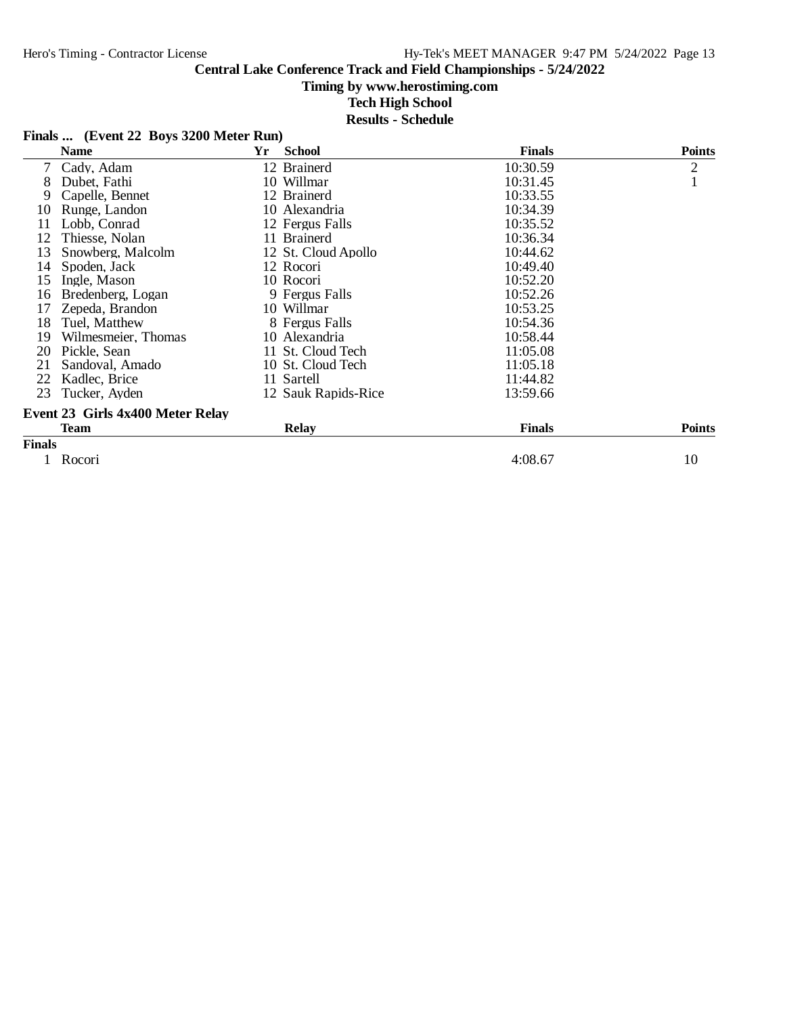#### **Timing by www.herostiming.com**

**Tech High School**

|  | Finals  (Event 22 Boys 3200 Meter Run) |  |  |  |
|--|----------------------------------------|--|--|--|
|--|----------------------------------------|--|--|--|

|                | <b>Name</b>                      | Yr | <b>School</b>       | <b>Finals</b> | <b>Points</b>  |
|----------------|----------------------------------|----|---------------------|---------------|----------------|
| $\overline{7}$ | Cady, Adam                       |    | 12 Brainerd         | 10:30.59      | $\overline{2}$ |
| 8              | Dubet, Fathi                     |    | 10 Willmar          | 10:31.45      |                |
| 9              | Capelle, Bennet                  |    | 12 Brainerd         | 10:33.55      |                |
| 10             | Runge, Landon                    |    | 10 Alexandria       | 10:34.39      |                |
| 11             | Lobb, Conrad                     |    | 12 Fergus Falls     | 10:35.52      |                |
| 12             | Thiesse, Nolan                   |    | 11 Brainerd         | 10:36.34      |                |
| 13             | Snowberg, Malcolm                |    | 12 St. Cloud Apollo | 10:44.62      |                |
| 14             | Spoden. Jack                     |    | 12 Rocori           | 10:49.40      |                |
| 15             | Ingle, Mason                     |    | 10 Rocori           | 10:52.20      |                |
| 16             | Bredenberg, Logan                |    | 9 Fergus Falls      | 10:52.26      |                |
| 17             | Zepeda, Brandon                  |    | 10 Willmar          | 10:53.25      |                |
| 18             | Tuel, Matthew                    |    | 8 Fergus Falls      | 10:54.36      |                |
| 19             | Wilmesmeier, Thomas              |    | 10 Alexandria       | 10:58.44      |                |
| 20             | Pickle, Sean                     |    | 11 St. Cloud Tech   | 11:05.08      |                |
| 21             | Sandoval, Amado                  |    | 10 St. Cloud Tech   | 11:05.18      |                |
| 22             | Kadlec, Brice                    |    | 11 Sartell          | 11:44.82      |                |
| 23             | Tucker, Ayden                    |    | 12 Sauk Rapids-Rice | 13:59.66      |                |
|                | Event 23 Girls 4x400 Meter Relay |    |                     |               |                |
|                | <b>Team</b>                      |    | <b>Relay</b>        | <b>Finals</b> | <b>Points</b>  |
| <b>Finals</b>  |                                  |    |                     |               |                |
|                | Rocori                           |    |                     | 4:08.67       | 10             |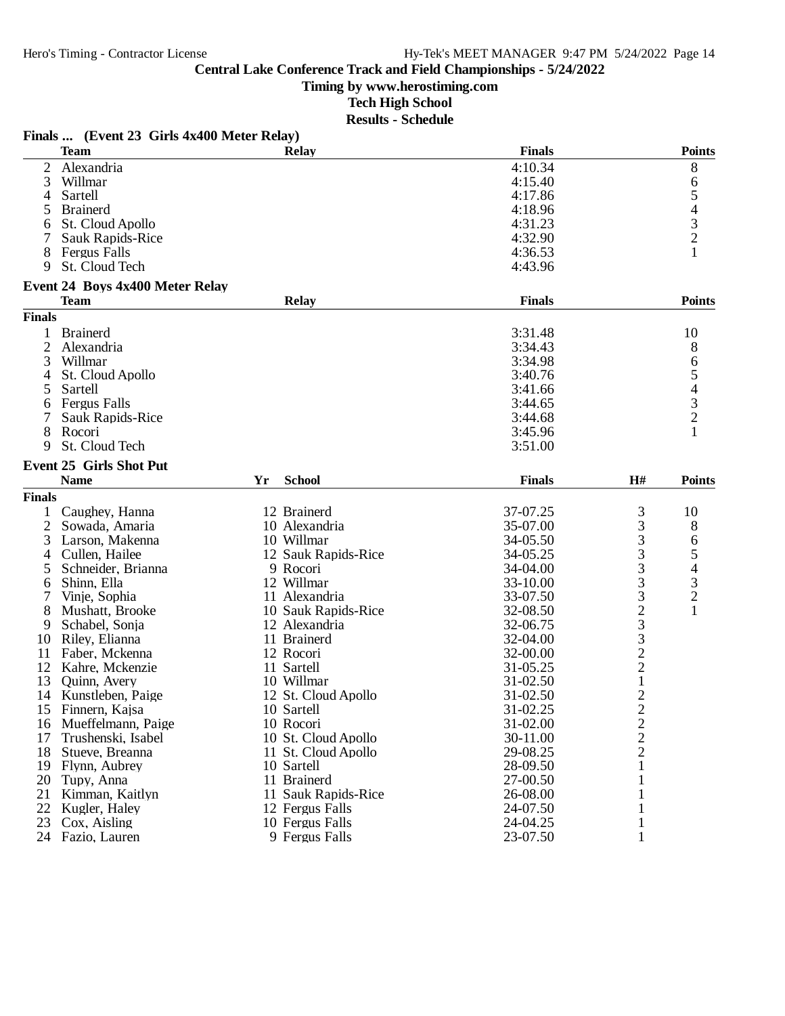**Timing by www.herostiming.com**

**Tech High School**

|                | Finals  (Event 23 Girls 4x400 Meter Relay) |    |                     |               |                         |                          |
|----------------|--------------------------------------------|----|---------------------|---------------|-------------------------|--------------------------|
|                | <b>Team</b>                                |    | <b>Relay</b>        | <b>Finals</b> |                         | <b>Points</b>            |
| 2              | Alexandria                                 |    |                     | 4:10.34       |                         | 8                        |
| 3              | Willmar                                    |    |                     | 4:15.40       |                         | 6                        |
| 4              | Sartell                                    |    |                     | 4:17.86       |                         | 5                        |
| 5              | <b>Brainerd</b>                            |    |                     | 4:18.96       |                         | 4                        |
| 6              | St. Cloud Apollo                           |    |                     | 4:31.23       |                         |                          |
|                | Sauk Rapids-Rice                           |    |                     | 4:32.90       |                         | $\frac{3}{2}$            |
| 8              | Fergus Falls                               |    |                     | 4:36.53       |                         |                          |
| 9              | St. Cloud Tech                             |    |                     | 4:43.96       |                         |                          |
|                | <b>Event 24 Boys 4x400 Meter Relay</b>     |    |                     |               |                         |                          |
|                | <b>Team</b>                                |    | <b>Relay</b>        | <b>Finals</b> |                         | <b>Points</b>            |
| <b>Finals</b>  |                                            |    |                     |               |                         |                          |
|                | <b>Brainerd</b>                            |    |                     | 3:31.48       |                         | 10                       |
| $\overline{2}$ | Alexandria                                 |    |                     | 3:34.43       |                         | 8                        |
| 3              | Willmar                                    |    |                     | 3:34.98       |                         | 6                        |
| 4              | St. Cloud Apollo                           |    |                     | 3:40.76       |                         |                          |
| 5              | Sartell                                    |    |                     | 3:41.66       |                         | 5<br>4                   |
| 6              | Fergus Falls                               |    |                     | 3:44.65       |                         |                          |
|                | Sauk Rapids-Rice                           |    |                     | 3:44.68       |                         | $\frac{3}{2}$            |
|                |                                            |    |                     |               |                         |                          |
| 8<br>9         | Rocori<br>St. Cloud Tech                   |    |                     | 3:45.96       |                         |                          |
|                |                                            |    |                     | 3:51.00       |                         |                          |
|                | <b>Event 25 Girls Shot Put</b>             |    |                     |               |                         |                          |
|                | <b>Name</b>                                | Yr | <b>School</b>       | <b>Finals</b> | H#                      | <b>Points</b>            |
| <b>Finals</b>  |                                            |    |                     |               |                         |                          |
|                | Caughey, Hanna                             |    | 12 Brainerd         | 37-07.25      | 3                       | 10                       |
| 2              | Sowada, Amaria                             |    | 10 Alexandria       | 35-07.00      | 3                       | 8                        |
| 3              | Larson, Makenna                            |    | 10 Willmar          | 34-05.50      |                         | 6                        |
| 4              | Cullen, Hailee                             |    | 12 Sauk Rapids-Rice | 34-05.25      | $\frac{3}{3}$           | 5                        |
| 5              | Schneider, Brianna                         |    | 9 Rocori            | 34-04.00      |                         | $\overline{\mathcal{L}}$ |
| 6              | Shinn, Ella                                |    | 12 Willmar          | 33-10.00      |                         |                          |
|                | Vinje, Sophia                              |    | 11 Alexandria       | 33-07.50      | 333233                  | $\frac{3}{2}$            |
| 8              | Mushatt, Brooke                            |    | 10 Sauk Rapids-Rice | 32-08.50      |                         |                          |
| 9              | Schabel, Sonja                             |    | 12 Alexandria       | 32-06.75      |                         |                          |
| 10             | Riley, Elianna                             |    | 11 Brainerd         | 32-04.00      |                         |                          |
| 11             | Faber, Mckenna                             |    | 12 Rocori           | 32-00.00      |                         |                          |
| 12             | Kahre, Mckenzie                            |    | 11 Sartell          | 31-05.25      | $\frac{2}{2}$           |                          |
| 13             | Quinn, Avery                               |    | 10 Willmar          | 31-02.50      | $\mathbf 1$             |                          |
| 14             | Kunstleben, Paige                          |    | 12 St. Cloud Apollo | 31-02.50      | $\overline{2}$          |                          |
| 15             | Finnern, Kajsa                             |    | 10 Sartell          | 31-02.25      | $\overline{\mathbf{c}}$ |                          |
| 16             | Mueffelmann, Paige                         |    | 10 Rocori           | 31-02.00      | $\overline{c}$          |                          |
| 17             | Trushenski, Isabel                         |    | 10 St. Cloud Apollo | 30-11.00      |                         |                          |
| 18             | Stueve, Breanna                            |    | 11 St. Cloud Apollo | 29-08.25      | $\frac{2}{2}$           |                          |
| 19             | Flynn, Aubrey                              |    | 10 Sartell          | 28-09.50      | $\mathbf{1}$            |                          |
| 20             |                                            |    | 11 Brainerd         | 27-00.50      | 1                       |                          |
|                | Tupy, Anna                                 |    |                     |               |                         |                          |
| 21             | Kimman, Kaitlyn                            |    | 11 Sauk Rapids-Rice | 26-08.00      | 1                       |                          |
| 22             | Kugler, Haley                              |    | 12 Fergus Falls     | 24-07.50      | $\mathbf{1}$            |                          |
| 23             | Cox, Aisling                               |    | 10 Fergus Falls     | 24-04.25      | $\mathbf{1}$            |                          |
|                | 24 Fazio, Lauren                           |    | 9 Fergus Falls      | 23-07.50      | $\mathbf{1}$            |                          |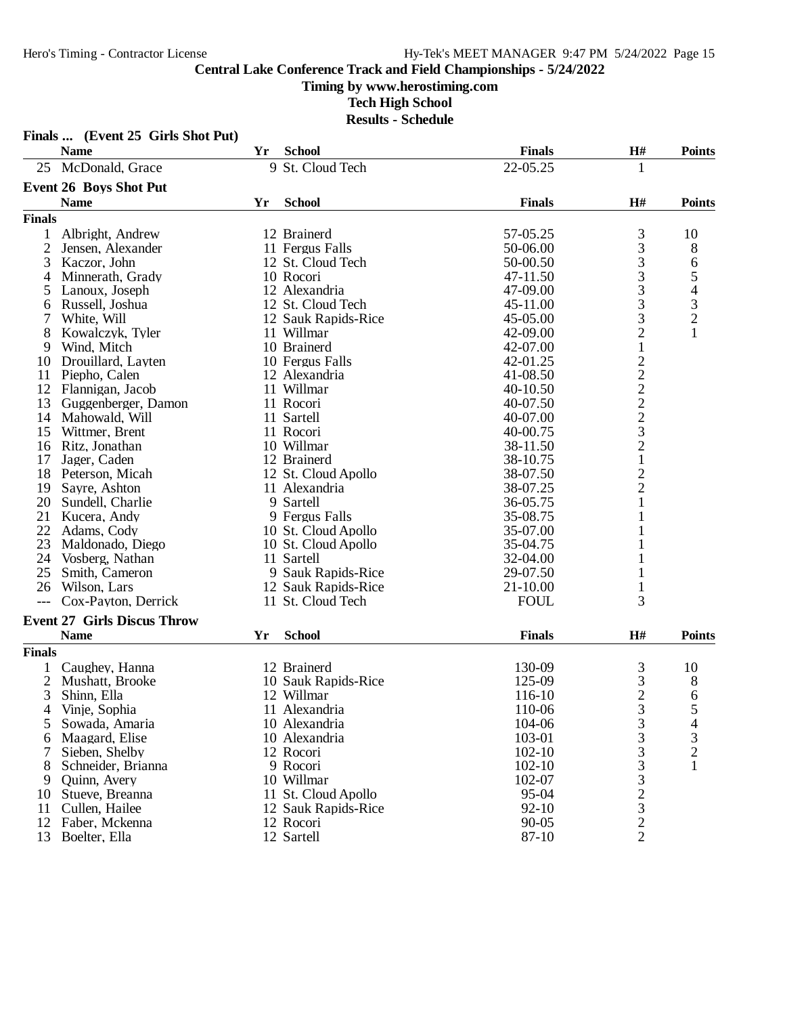# **Timing by www.herostiming.com**

|                | Finals  (Event 25 Girls Shot Put)  |    |                     |               |                 |                                            |
|----------------|------------------------------------|----|---------------------|---------------|-----------------|--------------------------------------------|
|                | <b>Name</b>                        | Yr | <b>School</b>       | <b>Finals</b> | H#              | <b>Points</b>                              |
|                | 25 McDonald, Grace                 |    | 9 St. Cloud Tech    | 22-05.25      | 1               |                                            |
|                | <b>Event 26 Boys Shot Put</b>      |    |                     |               |                 |                                            |
|                | <b>Name</b>                        | Yr | <b>School</b>       | <b>Finals</b> | H#              | <b>Points</b>                              |
| <b>Finals</b>  |                                    |    |                     |               |                 |                                            |
| 1              | Albright, Andrew                   |    | 12 Brainerd         | 57-05.25      | 3               | 10                                         |
| $\overline{2}$ | Jensen, Alexander                  |    | 11 Fergus Falls     | 50-06.00      | 3               | 8                                          |
| 3              | Kaczor, John                       |    | 12 St. Cloud Tech   | 50-00.50      | 3               | 6                                          |
| 4              | Minnerath, Grady                   |    | 10 Rocori           | 47-11.50      | 3               | 5                                          |
| 5              | Lanoux, Joseph                     |    | 12 Alexandria       | 47-09.00      | 3               | $\begin{array}{c} 4 \\ 3 \\ 2 \end{array}$ |
| 6              | Russell, Joshua                    |    | 12 St. Cloud Tech   | 45-11.00      | 3               |                                            |
| 7              | White, Will                        |    | 12 Sauk Rapids-Rice | 45-05.00      | 3               |                                            |
| 8              | Kowalczyk, Tyler                   |    | 11 Willmar          | 42-09.00      | $\overline{c}$  | $\mathbf{1}$                               |
| 9              | Wind, Mitch                        |    | 10 Brainerd         | 42-07.00      | $\mathbf 1$     |                                            |
| 10             | Drouillard, Layten                 |    | 10 Fergus Falls     | 42-01.25      | $2222$<br>$223$ |                                            |
| 11             | Piepho, Calen                      |    | 12 Alexandria       | 41-08.50      |                 |                                            |
| 12             | Flannigan, Jacob                   |    | 11 Willmar          | 40-10.50      |                 |                                            |
| 13             | Guggenberger, Damon                |    | 11 Rocori           | 40-07.50      |                 |                                            |
| 14             | Mahowald, Will                     |    | 11 Sartell          | 40-07.00      |                 |                                            |
| 15             | Wittmer, Brent                     |    | 11 Rocori           | 40-00.75      |                 |                                            |
| 16             | Ritz, Jonathan                     |    | 10 Willmar          | 38-11.50      | $\overline{c}$  |                                            |
| 17             | Jager, Caden                       |    | 12 Brainerd         | 38-10.75      | $\,1$           |                                            |
| 18             | Peterson, Micah                    |    | 12 St. Cloud Apollo | 38-07.50      | $\frac{2}{2}$   |                                            |
| 19             | Sayre, Ashton                      |    | 11 Alexandria       | 38-07.25      |                 |                                            |
| 20             | Sundell, Charlie                   |    | 9 Sartell           | 36-05.75      | 1               |                                            |
| 21             | Kucera, Andy                       |    | 9 Fergus Falls      | 35-08.75      |                 |                                            |
| 22             | Adams, Cody                        |    | 10 St. Cloud Apollo | 35-07.00      |                 |                                            |
| 23             | Maldonado, Diego                   |    | 10 St. Cloud Apollo | 35-04.75      | 1               |                                            |
| 24             | Vosberg, Nathan                    |    | 11 Sartell          | 32-04.00      |                 |                                            |
| 25             | Smith, Cameron                     |    | 9 Sauk Rapids-Rice  | 29-07.50      |                 |                                            |
| 26             | Wilson, Lars                       |    | 12 Sauk Rapids-Rice | $21 - 10.00$  | 1               |                                            |
|                | Cox-Payton, Derrick                |    | 11 St. Cloud Tech   | <b>FOUL</b>   | 3               |                                            |
|                | <b>Event 27 Girls Discus Throw</b> |    |                     |               |                 |                                            |
|                | <b>Name</b>                        | Yr | <b>School</b>       | <b>Finals</b> | H#              | <b>Points</b>                              |
| <b>Finals</b>  |                                    |    |                     |               |                 |                                            |
|                | Caughey, Hanna                     |    | 12 Brainerd         | 130-09        | 3               | 10                                         |
| $\overline{2}$ | Mushatt, Brooke                    |    | 10 Sauk Rapids-Rice | 125-09        | 3               | 8                                          |
| 3              | Shinn, Ella                        |    | 12 Willmar          | 116-10        | $\overline{2}$  | 6                                          |
| 4              | Vinje, Sophia                      |    | 11 Alexandria       | 110-06        | 3               | ς                                          |
| 5              | Sowada, Amaria                     |    | 10 Alexandria       | 104-06        | 3               | 4                                          |
| 6              | Maagard, Elise                     |    | 10 Alexandria       | 103-01        | 3               | 3                                          |
| 7              | Sieben, Shelby                     |    | 12 Rocori           | $102 - 10$    | 3               | $\overline{c}$                             |
| 8              | Schneider, Brianna                 |    | 9 Rocori            | $102 - 10$    |                 |                                            |
| 9              | Quinn, Avery                       |    | 10 Willmar          | 102-07        | $\frac{3}{3}$   |                                            |
| 10             | Stueve, Breanna                    |    | 11 St. Cloud Apollo | 95-04         | $\frac{2}{3}$   |                                            |
| 11             | Cullen, Hailee                     |    | 12 Sauk Rapids-Rice | $92 - 10$     |                 |                                            |
| 12             | Faber, Mckenna                     |    | 12 Rocori           | $90 - 05$     | $\sqrt{2}$      |                                            |
| 13             | Boelter, Ella                      |    | 12 Sartell          | 87-10         | $\overline{2}$  |                                            |
|                |                                    |    |                     |               |                 |                                            |

# **Tech High School**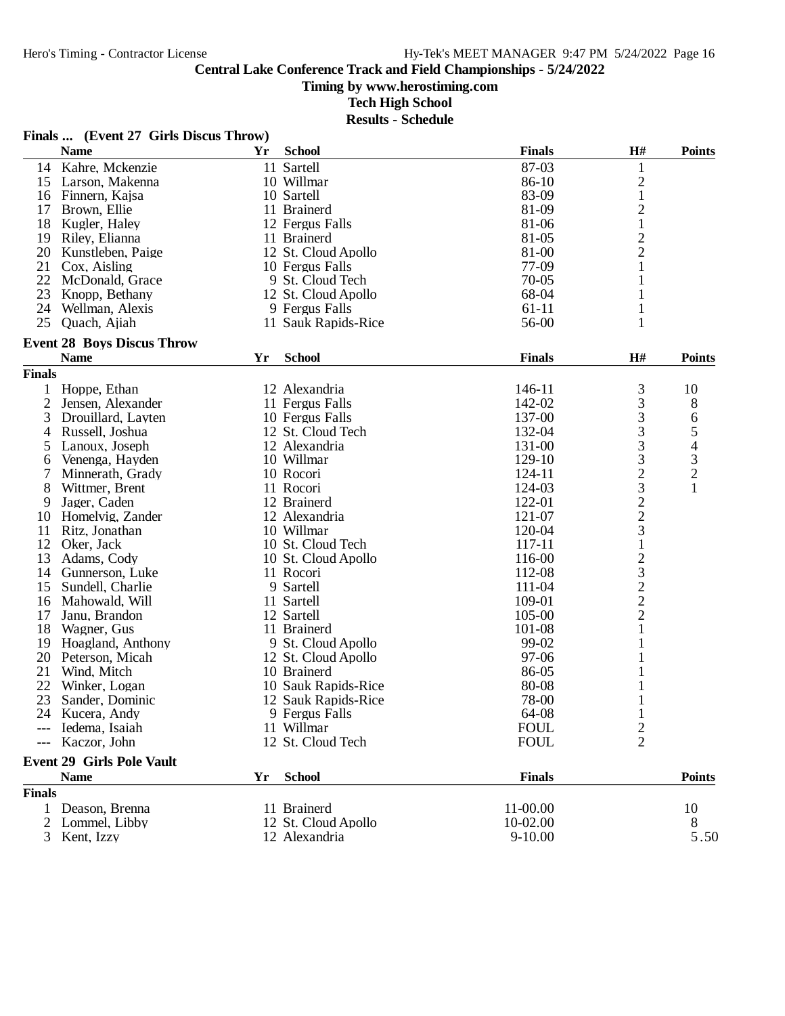**Timing by www.herostiming.com**

**Tech High School**

|               | Finals  (Event 27 Girls Discus Throw)            |            |                     |               |                                                |                  |
|---------------|--------------------------------------------------|------------|---------------------|---------------|------------------------------------------------|------------------|
|               | <b>Name</b>                                      | Yr         | <b>School</b>       | <b>Finals</b> | H#                                             | <b>Points</b>    |
| 14            | Kahre, Mckenzie                                  |            | 11 Sartell          | 87-03         | 1                                              |                  |
| 15            | Larson, Makenna                                  |            | 10 Willmar          | 86-10         | $\overline{c}$                                 |                  |
| 16            | Finnern, Kajsa                                   |            | 10 Sartell          | 83-09         | $\mathbf{1}$                                   |                  |
| 17            | Brown, Ellie                                     |            | 11 Brainerd         | 81-09         | $\overline{c}$                                 |                  |
| 18            | Kugler, Haley                                    |            | 12 Fergus Falls     | 81-06         | $\mathbf{1}$                                   |                  |
|               | 19 Riley, Elianna                                |            | 11 Brainerd         | 81-05         |                                                |                  |
| 20            | Kunstleben, Paige                                |            | 12 St. Cloud Apollo | 81-00         | $\frac{2}{2}$                                  |                  |
| 21            | Cox, Aisling                                     |            | 10 Fergus Falls     | 77-09         | 1                                              |                  |
| 22            | McDonald, Grace                                  |            | 9 St. Cloud Tech    | $70 - 05$     | 1                                              |                  |
| 23            | Knopp, Bethany                                   |            | 12 St. Cloud Apollo | 68-04         | 1                                              |                  |
| 24            | Wellman, Alexis                                  |            | 9 Fergus Falls      | $61 - 11$     | $\mathbf{1}$                                   |                  |
| 25            | Quach, Ajiah                                     |            | 11 Sauk Rapids-Rice | 56-00         | 1                                              |                  |
|               |                                                  |            |                     |               |                                                |                  |
|               | <b>Event 28 Boys Discus Throw</b><br><b>Name</b> | Yr         | <b>School</b>       | <b>Finals</b> | H#                                             | <b>Points</b>    |
|               |                                                  |            |                     |               |                                                |                  |
| <b>Finals</b> |                                                  |            |                     |               |                                                |                  |
| 1             | Hoppe, Ethan                                     |            | 12 Alexandria       | 146-11        | 3                                              | 10               |
| 2             | Jensen, Alexander                                |            | 11 Fergus Falls     | 142-02        | 3                                              | 8                |
| 3             | Drouillard, Layten                               |            | 10 Fergus Falls     | 137-00        | 3                                              | 6                |
| 4             | Russell, Joshua                                  |            | 12 St. Cloud Tech   | 132-04        | 3                                              |                  |
| 5             | Lanoux, Joseph                                   |            | 12 Alexandria       | 131-00        | 3                                              | 5<br>4<br>3<br>2 |
| 6             | Venenga, Hayden                                  |            | 10 Willmar          | 129-10        | 3                                              |                  |
| 7             | Minnerath, Grady                                 |            | 10 Rocori           | 124-11        | $\overline{c}$                                 |                  |
| 8             | Wittmer, Brent                                   |            | 11 Rocori           | 124-03        | $\begin{array}{c} 3 \\ 2 \\ 3 \end{array}$     | $\mathbf{1}$     |
| 9             | Jager, Caden                                     |            | 12 Brainerd         | 122-01        |                                                |                  |
| 10            | Homelvig, Zander                                 |            | 12 Alexandria       | 121-07        |                                                |                  |
| 11            | Ritz, Jonathan                                   |            | 10 Willmar          | 120-04        |                                                |                  |
| 12            | Oker, Jack                                       |            | 10 St. Cloud Tech   | 117-11        | $\mathbf 1$                                    |                  |
| 13            | Adams, Cody                                      |            | 10 St. Cloud Apollo | 116-00        |                                                |                  |
| 14            | Gunnerson, Luke                                  |            | 11 Rocori           | 112-08        | $\begin{array}{c}\n23 \\ 22 \\ 2\n\end{array}$ |                  |
| 15            | Sundell, Charlie                                 |            | 9 Sartell           | 111-04        |                                                |                  |
| 16            | Mahowald, Will                                   |            | 11 Sartell          | 109-01        |                                                |                  |
| 17            | Janu, Brandon                                    |            | 12 Sartell          | 105-00        |                                                |                  |
| 18            | Wagner, Gus                                      |            | 11 Brainerd         | 101-08        | 1                                              |                  |
| 19            | Hoagland, Anthony                                |            | 9 St. Cloud Apollo  | 99-02         | 1                                              |                  |
| 20            | Peterson, Micah                                  |            | 12 St. Cloud Apollo | 97-06         |                                                |                  |
| 21            | Wind, Mitch                                      |            | 10 Brainerd         | 86-05         |                                                |                  |
| 22            | Winker, Logan                                    |            | 10 Sauk Rapids-Rice | 80-08         |                                                |                  |
| 23            | Sander, Dominic                                  |            | 12 Sauk Rapids-Rice | 78-00         |                                                |                  |
|               | 24 Kucera, Andy                                  |            | 9 Fergus Falls      | 64-08         | $\mathbf{1}$                                   |                  |
|               | Iedema, Isaiah                                   |            | 11 Willmar          | <b>FOUL</b>   | $\overline{c}$                                 |                  |
|               | Kaczor, John                                     |            | 12 St. Cloud Tech   | <b>FOUL</b>   | $\overline{2}$                                 |                  |
|               | <b>Event 29 Girls Pole Vault</b>                 |            |                     |               |                                                |                  |
|               | <b>Name</b>                                      | ${\bf Yr}$ | <b>School</b>       | <b>Finals</b> |                                                | <b>Points</b>    |
| <b>Finals</b> |                                                  |            |                     |               |                                                |                  |
| $\mathbf{1}$  | Deason, Brenna                                   |            | 11 Brainerd         | 11-00.00      |                                                | 10               |
| 2             | Lommel, Libby                                    |            | 12 St. Cloud Apollo | 10-02.00      |                                                | 8                |
| 3             | Kent, Izzy                                       |            | 12 Alexandria       | $9 - 10.00$   |                                                | 5.50             |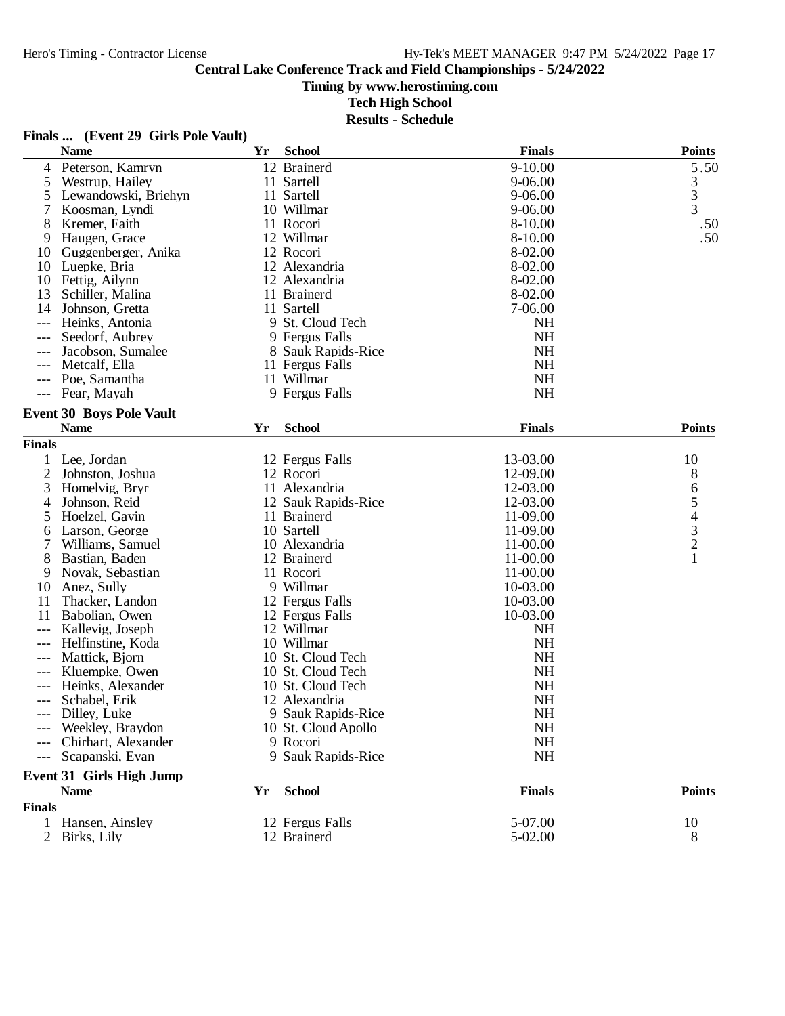**Timing by www.herostiming.com**

**Tech High School**

|                | Finals  (Event 29 Girls Pole Vault)            |    |                     |               |                                                 |
|----------------|------------------------------------------------|----|---------------------|---------------|-------------------------------------------------|
|                | <b>Name</b>                                    | Yr | <b>School</b>       | <b>Finals</b> | <b>Points</b>                                   |
| 4              | Peterson, Kamryn                               |    | 12 Brainerd         | $9 - 10.00$   | 5.50                                            |
| 5              | Westrup, Hailey                                |    | 11 Sartell          | 9-06.00       |                                                 |
| 5              | Lewandowski, Briehyn                           |    | 11 Sartell          | 9-06.00       | $\frac{3}{3}$                                   |
| 7              | Koosman, Lyndi                                 |    | 10 Willmar          | 9-06.00       | $\overline{3}$                                  |
| 8              | Kremer, Faith                                  |    | 11 Rocori           | 8-10.00       | .50                                             |
| 9              | Haugen, Grace                                  |    | 12 Willmar          | 8-10.00       | .50                                             |
| 10             | Guggenberger, Anika                            |    | 12 Rocori           | 8-02.00       |                                                 |
| 10             | Luepke, Bria                                   |    | 12 Alexandria       | 8-02.00       |                                                 |
| 10             | Fettig, Ailynn                                 |    | 12 Alexandria       | 8-02.00       |                                                 |
| 13             | Schiller, Malina                               |    | 11 Brainerd         | 8-02.00       |                                                 |
| 14             | Johnson, Gretta                                |    | 11 Sartell          | 7-06.00       |                                                 |
|                | Heinks, Antonia                                |    | 9 St. Cloud Tech    | <b>NH</b>     |                                                 |
|                | Seedorf, Aubrey                                |    | 9 Fergus Falls      | <b>NH</b>     |                                                 |
|                | Jacobson, Sumalee                              |    | 8 Sauk Rapids-Rice  | <b>NH</b>     |                                                 |
|                | Metcalf, Ella                                  |    | 11 Fergus Falls     | <b>NH</b>     |                                                 |
|                | Poe, Samantha                                  |    | 11 Willmar          | <b>NH</b>     |                                                 |
| $---$          | Fear, Mayah                                    |    | 9 Fergus Falls      | NH            |                                                 |
|                | <b>Event 30 Boys Pole Vault</b>                |    |                     |               |                                                 |
|                | <b>Name</b>                                    | Yr | <b>School</b>       | <b>Finals</b> | <b>Points</b>                                   |
| <b>Finals</b>  |                                                |    |                     |               |                                                 |
|                | 1 Lee, Jordan                                  |    | 12 Fergus Falls     | 13-03.00      | 10                                              |
| 2              | Johnston, Joshua                               |    | 12 Rocori           | 12-09.00      | 8                                               |
| 3              | Homelvig, Bryr                                 |    | 11 Alexandria       | 12-03.00      | 6                                               |
| 4              | Johnson, Reid                                  |    | 12 Sauk Rapids-Rice | 12-03.00      |                                                 |
| 5              | Hoelzel, Gavin                                 |    | 11 Brainerd         | 11-09.00      |                                                 |
| 6              | Larson, George                                 |    | 10 Sartell          | 11-09.00      | $\begin{array}{c} 5 \\ 4 \\ 3 \\ 2 \end{array}$ |
| 7              | Williams, Samuel                               |    | 10 Alexandria       | 11-00.00      |                                                 |
| 8              | Bastian, Baden                                 |    | 12 Brainerd         | 11-00.00      | 1                                               |
| 9              | Novak, Sebastian                               |    | 11 Rocori           | 11-00.00      |                                                 |
| 10             | Anez, Sully                                    |    | 9 Willmar           | 10-03.00      |                                                 |
| 11             | Thacker, Landon                                |    | 12 Fergus Falls     | 10-03.00      |                                                 |
| 11             | Babolian, Owen                                 |    | 12 Fergus Falls     | 10-03.00      |                                                 |
|                | Kallevig, Joseph                               |    | 12 Willmar          | <b>NH</b>     |                                                 |
|                | Helfinstine, Koda                              |    | 10 Willmar          | <b>NH</b>     |                                                 |
|                | Mattick, Bjorn                                 |    | 10 St. Cloud Tech   | NH            |                                                 |
|                | Kluempke, Owen                                 |    | 10 St. Cloud Tech   | <b>NH</b>     |                                                 |
|                | Heinks, Alexander                              |    | 10 St. Cloud Tech   | NH            |                                                 |
|                | Schabel, Erik                                  |    | 12 Alexandria       | <b>NH</b>     |                                                 |
|                | Dilley, Luke                                   |    | 9 Sauk Rapids-Rice  | <b>NH</b>     |                                                 |
|                | Weekley, Braydon                               |    | 10 St. Cloud Apollo | <b>NH</b>     |                                                 |
|                | Chirhart, Alexander                            |    | 9 Rocori            | <b>NH</b>     |                                                 |
|                | Scapanski, Evan                                |    | 9 Sauk Rapids-Rice  | <b>NH</b>     |                                                 |
|                |                                                |    |                     |               |                                                 |
|                | <b>Event 31 Girls High Jump</b><br><b>Name</b> |    | <b>School</b>       | <b>Finals</b> | <b>Points</b>                                   |
| <b>Finals</b>  |                                                | Yr |                     |               |                                                 |
| $\mathbf{1}$   | Hansen, Ainsley                                |    | 12 Fergus Falls     | 5-07.00       |                                                 |
|                |                                                |    |                     |               | 10                                              |
| $\overline{2}$ | Birks, Lily                                    |    | 12 Brainerd         | 5-02.00       | 8                                               |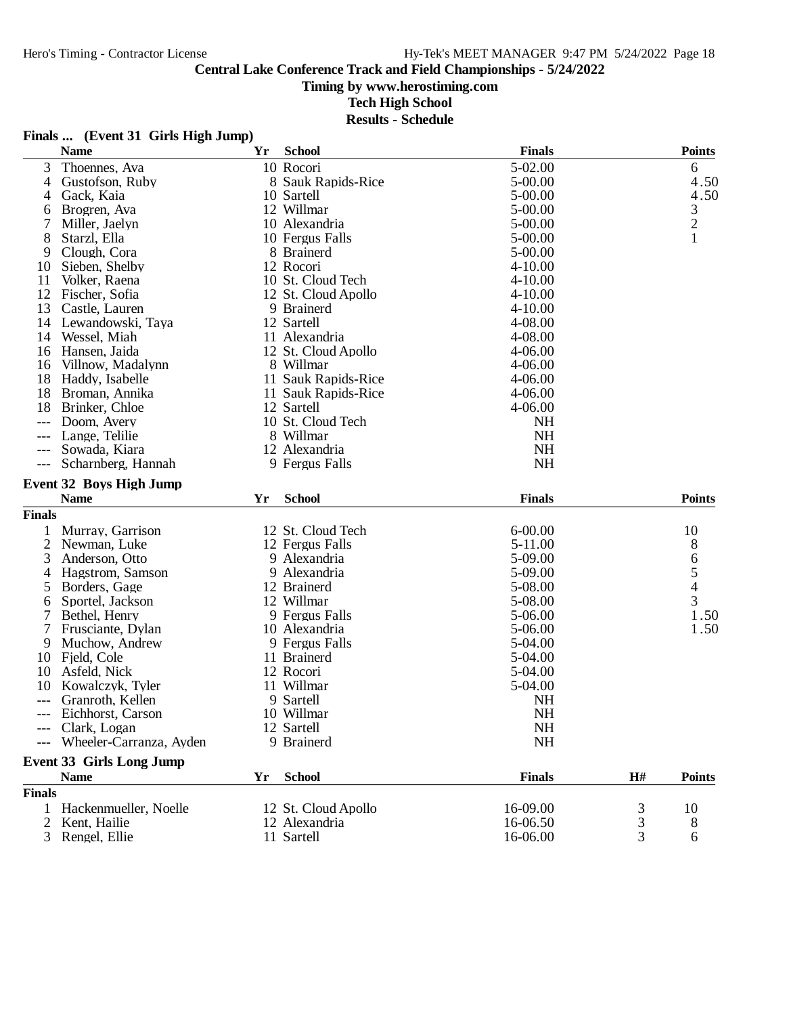#### **Timing by www.herostiming.com**

**Tech High School**

|  | Finals  (Event 31 Girls High Jump) |  |  |  |
|--|------------------------------------|--|--|--|
|--|------------------------------------|--|--|--|

|                | <b>Name</b>                     | Yr | <b>School</b>       | <b>Finals</b> |    | <b>Points</b>  |
|----------------|---------------------------------|----|---------------------|---------------|----|----------------|
| 3              | Thoennes, Ava                   |    | 10 Rocori           | 5-02.00       |    | 6              |
| 4              | Gustofson, Ruby                 |    | 8 Sauk Rapids-Rice  | 5-00.00       |    | 4.50           |
| 4              | Gack, Kaia                      |    | 10 Sartell          | 5-00.00       |    | 4.50           |
| 6              | Brogren, Ava                    |    | 12 Willmar          | 5-00.00       |    |                |
| 7              | Miller, Jaelyn                  |    | 10 Alexandria       | 5-00.00       |    | $\frac{3}{2}$  |
| 8              | Starzl, Ella                    |    | 10 Fergus Falls     | 5-00.00       |    | $\mathbf{1}$   |
| 9              | Clough, Cora                    |    | 8 Brainerd          | 5-00.00       |    |                |
| 10             | Sieben, Shelby                  |    | 12 Rocori           | $4 - 10.00$   |    |                |
| 11             | Volker, Raena                   |    | 10 St. Cloud Tech   | $4 - 10.00$   |    |                |
| 12             | Fischer, Sofia                  |    | 12 St. Cloud Apollo | $4 - 10.00$   |    |                |
| 13             | Castle, Lauren                  |    | 9 Brainerd          | $4 - 10.00$   |    |                |
| 14             | Lewandowski, Taya               |    | 12 Sartell          | 4-08.00       |    |                |
| 14             | Wessel, Miah                    |    | 11 Alexandria       | 4-08.00       |    |                |
| 16             | Hansen, Jaida                   |    | 12 St. Cloud Apollo | 4-06.00       |    |                |
| 16             | Villnow, Madalynn               |    | 8 Willmar           | 4-06.00       |    |                |
| 18             | Haddy, Isabelle                 |    | 11 Sauk Rapids-Rice | 4-06.00       |    |                |
| 18             | Broman, Annika                  |    | 11 Sauk Rapids-Rice | $4 - 06.00$   |    |                |
| 18             | Brinker, Chloe                  |    | 12 Sartell          | 4-06.00       |    |                |
|                | Doom, Avery                     |    | 10 St. Cloud Tech   | NH            |    |                |
|                | Lange, Telilie                  |    | 8 Willmar           | <b>NH</b>     |    |                |
| $---$          | Sowada, Kiara                   |    | 12 Alexandria       | NH            |    |                |
| $---$          | Scharnberg, Hannah              |    | 9 Fergus Falls      | NH            |    |                |
|                |                                 |    |                     |               |    |                |
|                | <b>Event 32 Boys High Jump</b>  |    |                     |               |    |                |
|                | <b>Name</b>                     | Yr | <b>School</b>       | <b>Finals</b> |    | <b>Points</b>  |
| <b>Finals</b>  |                                 |    |                     |               |    |                |
|                | Murray, Garrison                |    | 12 St. Cloud Tech   | $6 - 00.00$   |    | 10             |
| $\overline{c}$ | Newman, Luke                    |    | 12 Fergus Falls     | 5-11.00       |    | 8              |
| 3              | Anderson, Otto                  |    | 9 Alexandria        | 5-09.00       |    | $\frac{6}{5}$  |
| 4              | Hagstrom, Samson                |    | 9 Alexandria        | 5-09.00       |    |                |
| 5              | Borders, Gage                   |    | 12 Brainerd         | 5-08.00       |    |                |
| 6              | Sportel, Jackson                |    | 12 Willmar          | 5-08.00       |    | $\overline{3}$ |
|                | Bethel, Henry                   |    | 9 Fergus Falls      | 5-06.00       |    | 1.50           |
| 7              | Frusciante, Dylan               |    | 10 Alexandria       | 5-06.00       |    | 1.50           |
| 9              | Muchow, Andrew                  |    | 9 Fergus Falls      | 5-04.00       |    |                |
| 10             | Fjeld, Cole                     |    | 11 Brainerd         | 5-04.00       |    |                |
| 10             | Asfeld, Nick                    |    | 12 Rocori           | 5-04.00       |    |                |
| 10             | Kowalczyk, Tyler                |    | 11 Willmar          | 5-04.00       |    |                |
| ---            | Granroth, Kellen                |    | 9 Sartell           | <b>NH</b>     |    |                |
|                | Eichhorst, Carson               |    | 10 Willmar          | NH            |    |                |
|                | Clark, Logan                    |    | 12 Sartell          | NH            |    |                |
|                | Wheeler-Carranza, Ayden         |    | 9 Brainerd          | <b>NH</b>     |    |                |
|                | <b>Event 33 Girls Long Jump</b> |    |                     |               |    |                |
|                | <b>Name</b>                     | Yr | <b>School</b>       | <b>Finals</b> | H# | <b>Points</b>  |
| <b>Finals</b>  |                                 |    |                     |               |    |                |
| 1              | Hackenmueller, Noelle           |    | 12 St. Cloud Apollo | 16-09.00      | 3  | 10             |
| 2              | Kent, Hailie                    |    | 12 Alexandria       | 16-06.50      | 3  | 8              |
| 3              | Rengel, Ellie                   |    | 11 Sartell          | 16-06.00      | 3  | 6              |
|                |                                 |    |                     |               |    |                |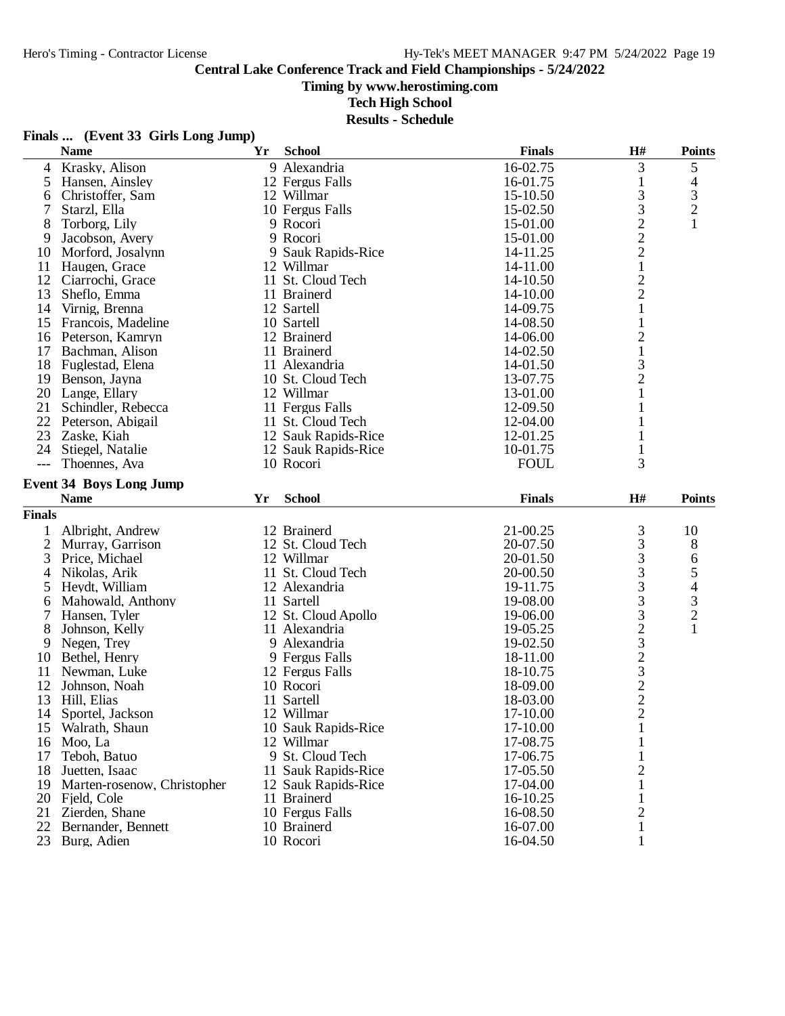**Timing by www.herostiming.com**

**Tech High School**

| Finals |  | (Event 33 Girls Long Jump) |
|--------|--|----------------------------|
|--------|--|----------------------------|

|               | <b>Name</b>                    | Yr | <b>School</b>       | <b>Finals</b> | H#                          | <b>Points</b>  |
|---------------|--------------------------------|----|---------------------|---------------|-----------------------------|----------------|
| 4             | Krasky, Alison                 |    | 9 Alexandria        | 16-02.75      | 3                           | 5              |
| 5             | Hansen, Ainsley                |    | 12 Fergus Falls     | 16-01.75      | $\mathbf{1}$                | 4              |
| 6             | Christoffer, Sam               |    | 12 Willmar          | 15-10.50      | 3                           |                |
| 7             | Starzl, Ella                   |    | 10 Fergus Falls     | 15-02.50      | 3                           | $\frac{3}{2}$  |
| 8             | Torborg, Lily                  |    | 9 Rocori            | 15-01.00      | $\overline{c}$              | $\mathbf{1}$   |
| 9             | Jacobson, Avery                |    | 9 Rocori            | 15-01.00      | $\sqrt{2}$                  |                |
| 10            | Morford, Josalynn              |    | 9 Sauk Rapids-Rice  | 14-11.25      | $\overline{c}$              |                |
| 11            | Haugen, Grace                  |    | 12 Willmar          | 14-11.00      | $\,1$                       |                |
| 12            | Ciarrochi, Grace               |    | 11 St. Cloud Tech   | 14-10.50      | $\sqrt{2}$                  |                |
| 13            | Sheflo, Emma                   |    | 11 Brainerd         | 14-10.00      | $\overline{c}$              |                |
| 14            | Virnig, Brenna                 |    | 12 Sartell          | 14-09.75      | $\mathbf{1}$                |                |
| 15            | Francois, Madeline             |    | 10 Sartell          | 14-08.50      | $\mathbf{1}$                |                |
| 16            | Peterson, Kamryn               |    | 12 Brainerd         | 14-06.00      | $\overline{c}$              |                |
| 17            | Bachman, Alison                |    | 11 Brainerd         | 14-02.50      | $\,1\,$                     |                |
|               | 18 Fuglestad, Elena            |    | 11 Alexandria       | 14-01.50      |                             |                |
| 19            | Benson, Jayna                  |    | 10 St. Cloud Tech   | 13-07.75      | $\frac{3}{2}$               |                |
|               | 20 Lange, Ellary               |    | 12 Willmar          | 13-01.00      | $\mathbf{1}$                |                |
| 21            | Schindler, Rebecca             |    | 11 Fergus Falls     | 12-09.50      | $\mathbf{1}$                |                |
|               | 22 Peterson, Abigail           |    | 11 St. Cloud Tech   | 12-04.00      | $\mathbf{1}$                |                |
| 23            | Zaske, Kiah                    |    | 12 Sauk Rapids-Rice | 12-01.25      | 1                           |                |
| 24            | Stiegel, Natalie               |    | 12 Sauk Rapids-Rice | 10-01.75      | 1                           |                |
| $---$         | Thoennes, Ava                  |    | 10 Rocori           | <b>FOUL</b>   | 3                           |                |
|               |                                |    |                     |               |                             |                |
|               | <b>Event 34 Boys Long Jump</b> |    |                     |               |                             |                |
|               | <b>Name</b>                    | Yr | <b>School</b>       | <b>Finals</b> | H#                          | <b>Points</b>  |
| <b>Finals</b> |                                |    |                     |               |                             |                |
| 1             | Albright, Andrew               |    | 12 Brainerd         | 21-00.25      | 3                           | 10             |
| $\mathbf{2}$  | Murray, Garrison               |    | 12 St. Cloud Tech   | 20-07.50      | 3                           | $8\,$          |
| 3             | Price, Michael                 |    | 12 Willmar          | 20-01.50      | 3                           | 6              |
| 4             | Nikolas, Arik                  |    | 11 St. Cloud Tech   | 20-00.50      | 3                           | 5              |
| 5             | Heydt, William                 |    | 12 Alexandria       | 19-11.75      | $\overline{3}$              | 4              |
| 6             | Mahowald, Anthony              |    | 11 Sartell          | 19-08.00      | 3                           | 3              |
| 7             | Hansen, Tyler                  |    | 12 St. Cloud Apollo | 19-06.00      | $\ensuremath{\mathfrak{Z}}$ | $\overline{c}$ |
| 8             | Johnson, Kelly                 |    | 11 Alexandria       | 19-05.25      | $2323$<br>$232$             | $\mathbf{1}$   |
| 9             | Negen, Trey                    |    | 9 Alexandria        | 19-02.50      |                             |                |
| 10            | Bethel, Henry                  |    | 9 Fergus Falls      | 18-11.00      |                             |                |
| 11            | Newman, Luke                   |    | 12 Fergus Falls     | 18-10.75      |                             |                |
| 12            | Johnson, Noah                  |    | 10 Rocori           | 18-09.00      |                             |                |
| 13            | Hill, Elias                    |    | 11 Sartell          | 18-03.00      |                             |                |
| 14            | Sportel, Jackson               |    | 12 Willmar          | 17-10.00      | $\overline{2}$              |                |
| 15            | Walrath, Shaun                 |    | 10 Sauk Rapids-Rice | 17-10.00      | 1                           |                |
| 16            | Moo, La                        |    | 12 Willmar          | 17-08.75      |                             |                |
| 17            | Teboh, Batuo                   |    | 9 St. Cloud Tech    | 17-06.75      |                             |                |
| 18            | Juetten, Isaac                 |    | 11 Sauk Rapids-Rice | 17-05.50      | $\overline{c}$              |                |
| 19            | Marten-rosenow, Christopher    |    | 12 Sauk Rapids-Rice | 17-04.00      | $\mathbf{1}$                |                |
| 20            | Field, Cole                    |    | 11 Brainerd         | 16-10.25      |                             |                |
| 21            | Zierden, Shane                 |    | 10 Fergus Falls     | 16-08.50      | 2                           |                |
| 22            | Bernander, Bennett             |    | 10 Brainerd         | 16-07.00      |                             |                |
| 23            | Burg, Adien                    |    | 10 Rocori           | 16-04.50      | 1                           |                |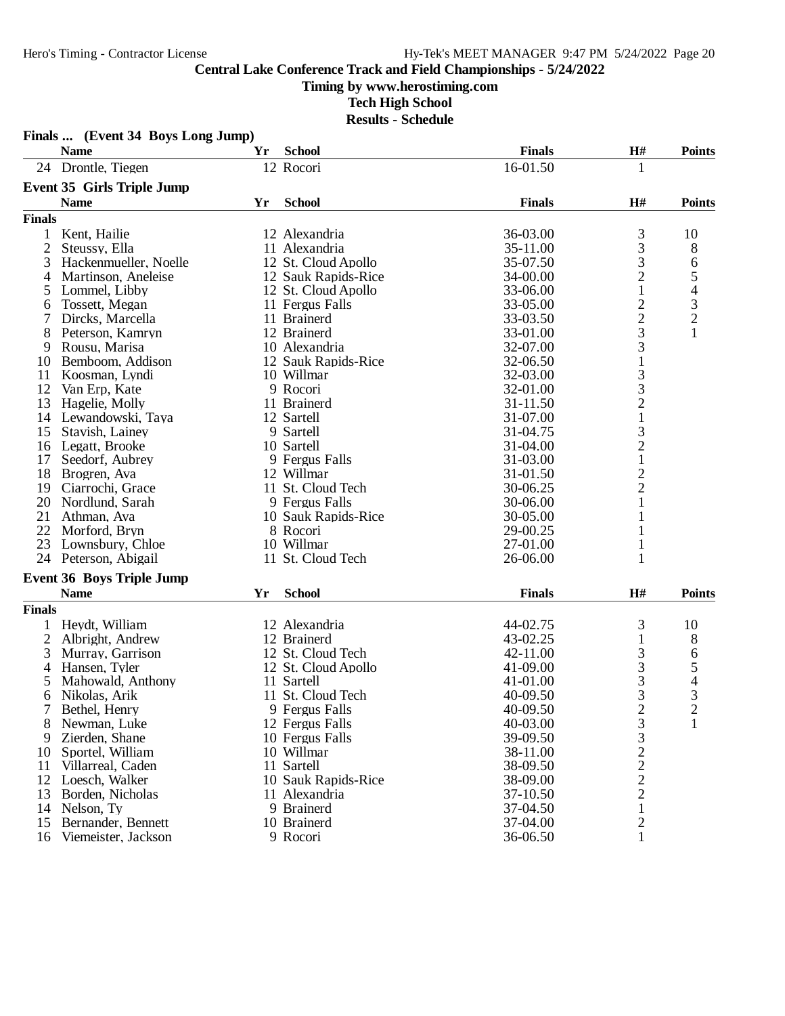**Finals ... (Event 34 Boys Long Jump)**

#### **Central Lake Conference Track and Field Championships - 5/24/2022**

# **Timing by www.herostiming.com**

**Tech High School**

|                | <b>Name</b>                            | Yr | <b>School</b>                     | <b>Finals</b>        | H#                                              | <b>Points</b>                                   |
|----------------|----------------------------------------|----|-----------------------------------|----------------------|-------------------------------------------------|-------------------------------------------------|
|                | 24 Drontle, Tiegen                     |    | 12 Rocori                         | 16-01.50             | 1                                               |                                                 |
|                | <b>Event 35 Girls Triple Jump</b>      |    |                                   |                      |                                                 |                                                 |
|                | <b>Name</b>                            | Yr | <b>School</b>                     | <b>Finals</b>        | H#                                              | <b>Points</b>                                   |
| <b>Finals</b>  |                                        |    |                                   |                      |                                                 |                                                 |
| $\mathbf{1}$   | Kent, Hailie                           |    | 12 Alexandria                     | 36-03.00             | 3                                               | 10                                              |
| $\overline{c}$ | Steussy, Ella                          |    | 11 Alexandria                     | 35-11.00             | 3                                               | 8                                               |
| 3              | Hackenmueller, Noelle                  |    | 12 St. Cloud Apollo               | 35-07.50             | 3                                               | 6                                               |
| 4              | Martinson, Aneleise                    |    | 12 Sauk Rapids-Rice               | 34-00.00             | $\overline{c}$                                  |                                                 |
| 5              | Lommel, Libby                          |    | 12 St. Cloud Apollo               | 33-06.00             | $\mathbf{1}$                                    | $\begin{array}{c} 5 \\ 4 \\ 3 \\ 2 \end{array}$ |
| 6              | Tossett, Megan                         |    | 11 Fergus Falls                   | 33-05.00             |                                                 |                                                 |
| 7              | Dircks, Marcella                       |    | 11 Brainerd                       | 33-03.50             | $\frac{2}{3}$                                   |                                                 |
| 8              | Peterson, Kamryn                       |    | 12 Brainerd                       | 33-01.00             |                                                 | $\mathbf{1}$                                    |
| 9              | Rousu, Marisa                          |    | 10 Alexandria                     | 32-07.00             | 3                                               |                                                 |
| 10             | Bemboom, Addison                       |    | 12 Sauk Rapids-Rice               | 32-06.50             | $\mathbf{1}$                                    |                                                 |
| 11             | Koosman, Lyndi                         |    | 10 Willmar                        | 32-03.00             |                                                 |                                                 |
| 12             | Van Erp, Kate                          |    | 9 Rocori                          | 32-01.00             |                                                 |                                                 |
| 13             | Hagelie, Molly                         |    | 11 Brainerd                       | 31-11.50             |                                                 |                                                 |
| 14             | Lewandowski, Taya                      |    | 12 Sartell                        | 31-07.00             | $\begin{array}{c} 3 \\ 3 \\ 2 \\ 1 \end{array}$ |                                                 |
| 15             | Stavish, Lainey                        |    | 9 Sartell                         | 31-04.75             |                                                 |                                                 |
| 16             | Legatt, Brooke                         |    | 10 Sartell                        | 31-04.00             | $\frac{3}{2}$                                   |                                                 |
| 17             | Seedorf, Aubrey                        |    | 9 Fergus Falls                    | 31-03.00             | $\mathbf 1$                                     |                                                 |
| 18             | Brogren, Ava                           |    | 12 Willmar                        | 31-01.50             |                                                 |                                                 |
| 19             | Ciarrochi, Grace                       |    | 11 St. Cloud Tech                 | 30-06.25             |                                                 |                                                 |
| 20             | Nordlund, Sarah                        |    | 9 Fergus Falls                    | 30-06.00             | $\frac{2}{1}$                                   |                                                 |
| 21             | Athman, Ava                            |    | 10 Sauk Rapids-Rice               | 30-05.00             | 1                                               |                                                 |
| 22             | Morford, Bryn                          |    | 8 Rocori                          | 29-00.25             | $\mathbf{1}$                                    |                                                 |
| 23             | Lownsbury, Chloe                       |    | 10 Willmar                        | 27-01.00             | $\mathbf{1}$                                    |                                                 |
| 24             | Peterson, Abigail                      |    | 11 St. Cloud Tech                 | 26-06.00             | $\mathbf{1}$                                    |                                                 |
|                | <b>Event 36 Boys Triple Jump</b>       |    |                                   |                      |                                                 |                                                 |
|                | <b>Name</b>                            | Yr | <b>School</b>                     | <b>Finals</b>        | H#                                              | <b>Points</b>                                   |
| <b>Finals</b>  |                                        |    |                                   |                      |                                                 |                                                 |
|                |                                        |    |                                   |                      |                                                 |                                                 |
| 1              | Heydt, William                         |    | 12 Alexandria                     | 44-02.75             | 3                                               | 10                                              |
| 2              | Albright, Andrew                       |    | 12 Brainerd                       | 43-02.25<br>42-11.00 | 1                                               | 8                                               |
| 3              | Murray, Garrison<br>Hansen, Tyler      |    | 12 St. Cloud Tech                 | 41-09.00             | 3<br>3                                          | 6                                               |
| 4              |                                        |    | 12 St. Cloud Apollo<br>11 Sartell |                      |                                                 | 5                                               |
| 5              | Mahowald, Anthony                      |    | 11 St. Cloud Tech                 | 41-01.00             | 3                                               | $\begin{array}{c} 4 \\ 3 \\ 2 \end{array}$      |
| 6              | Nikolas, Arik                          |    | 9 Fergus Falls                    | 40-09.50             | 3<br>$\overline{2}$                             |                                                 |
| 7              | Bethel, Henry                          |    |                                   | 40-09.50             |                                                 |                                                 |
| 8              | Newman, Luke                           |    | 12 Fergus Falls                   | 40-03.00             | 3                                               | 1                                               |
| 9              | Zierden, Shane                         |    | 10 Fergus Falls<br>10 Willmar     | 39-09.50             | 3                                               |                                                 |
| 10<br>11       | Sportel, William                       |    | 11 Sartell                        | 38-11.00<br>38-09.50 | $\frac{2}{2}$                                   |                                                 |
|                | Villarreal, Caden<br>12 Loesch, Walker |    |                                   |                      |                                                 |                                                 |
|                |                                        |    | 10 Sauk Rapids-Rice               | 38-09.00             |                                                 |                                                 |
| 13             | Borden, Nicholas                       |    | 11 Alexandria                     | 37-10.50             | $\overline{c}$                                  |                                                 |
| 14             | Nelson, Ty                             |    | 9 Brainerd                        | 37-04.50             | 1                                               |                                                 |
| 15             | Bernander, Bennett                     |    | 10 Brainerd                       | 37-04.00             | $\overline{c}$                                  |                                                 |
| 16             | Viemeister, Jackson                    |    | 9 Rocori                          | 36-06.50             | $\mathbf{1}$                                    |                                                 |